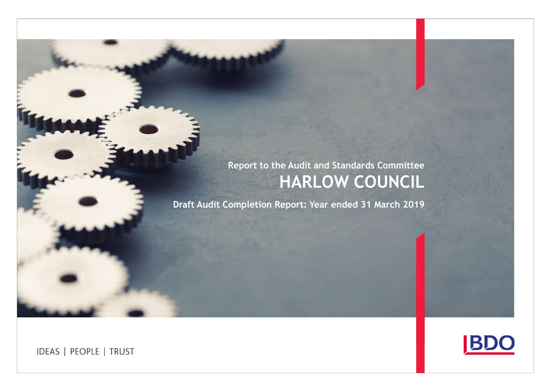# Report to the Audit and Standards Committee HARLOW COUNCIL

Draft Audit Completion Report: Year ended 31 March 2019

**BDC** 

**IDEAS | PEOPLE | TRUST**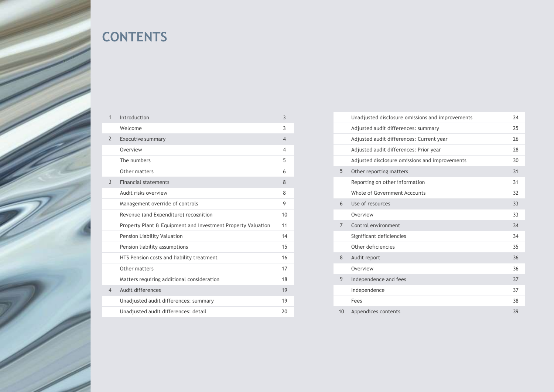

# **CONTENTS**

| $\mathbf 1$    | Introduction                                                 | 3              |                | Unadjusted disclosu  |
|----------------|--------------------------------------------------------------|----------------|----------------|----------------------|
|                | Welcome                                                      | 3              |                | Adjusted audit diffe |
| $\overline{2}$ | Executive summary                                            | $\overline{4}$ |                | Adjusted audit diffe |
|                | Overview                                                     | $\overline{4}$ |                | Adjusted audit diffe |
|                | The numbers                                                  | 5              |                | Adjusted disclosure  |
|                | Other matters                                                | 6              | 5              | Other reporting ma   |
| 3              | <b>Financial statements</b>                                  | 8              |                | Reporting on other   |
|                | Audit risks overview                                         | 8              |                | Whole of Governme    |
|                | Management override of controls                              | 9              | 6              | Use of resources     |
|                | Revenue (and Expenditure) recognition                        | 10             |                | Overview             |
|                | Property Plant & Equipment and Investment Property Valuation | 11             | $\overline{7}$ | Control environmen   |
|                | Pension Liability Valuation                                  | 14             |                | Significant deficien |
|                | Pension liability assumptions                                | 15             |                | Other deficiencies   |
|                | HTS Pension costs and liability treatment                    | 16             | 8              | Audit report         |
|                | Other matters                                                | 17             |                | Overview             |
|                | Matters requiring additional consideration                   | 18             | 9              | Independence and t   |
| 4              | Audit differences                                            | 19             |                | Independence         |
|                | Unadjusted audit differences: summary                        | 19             |                | Fees                 |
|                | Unadjusted audit differences: detail                         | 20             | 10             | Appendices content   |
|                |                                                              |                |                |                      |

|                | Unadjusted disclosure omissions and improvements | 24 |
|----------------|--------------------------------------------------|----|
|                | Adjusted audit differences: summary              | 25 |
|                | Adjusted audit differences: Current year         | 26 |
|                | Adjusted audit differences: Prior year           | 28 |
|                | Adjusted disclosure omissions and improvements   | 30 |
| 5              | Other reporting matters                          | 31 |
|                | Reporting on other information                   | 31 |
|                | Whole of Government Accounts                     | 32 |
| 6              | Use of resources                                 | 33 |
|                | Overview                                         | 33 |
| $\overline{7}$ | Control environment                              | 34 |
|                | Significant deficiencies                         | 34 |
|                | Other deficiencies                               | 35 |
| 8              | Audit report                                     | 36 |
|                | Overview                                         | 36 |
| 9              | Independence and fees                            | 37 |
|                | Independence                                     | 37 |
|                | Fees                                             | 38 |
| 10             | Appendices contents                              | 39 |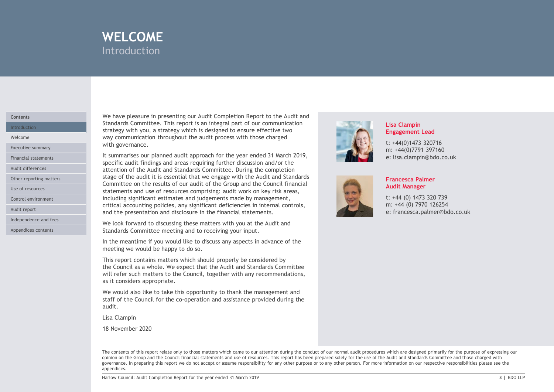

#### **Contents**

Other reporting matters

Control environment

Audit report

Independence and fees

Appendices contents

We have pleasure in presenting our Audit Completion Report to the Audit and Standards Committee. This report is an integral part of our communication Introduction **Exercise 2020** Strategy with you, a strategy which is designed to ensure effective two **Intervention** WELCOME<br>
Introduction<br>
We have pleasure in presenting our Audit Completion Report to the Audit and<br>
Standards Committee. This report is an integral part of our communication<br>
strategy with you, a strategy which is designed Welcome **Example 2018** Way communication throughout the audit process with those charged Executive summary **Executive summary** 

WELCOME<br>
Introduction<br>
Introduction<br>
Standards Committee. This report is an integral part of our communication<br>
Strandards Committee. This report is an integral part of our communication<br>
strategy with you, a strategy whic **INTELCOME**<br>
Introduction<br>
Standards Committee. This report is an integral part of our communication<br>
Standards Committee. This report is an integral to ensure effective two<br>
started with gour as attendy which is designed Specific audit midlings and areas requiring further discussion and/or the middle and state of the middle of controller audit fills report is an intergral part of our communication strategy with you, a strategy witch is des Audit differences **Exercise 2 and Standards Committee.** During the completion and Standards Committee. During the completion stage of the audit it is essential that we engage with the Audit and Standards Committee on the results of our audit of the Group and the Council financial Use of resources **Statements and use of resources comprising:** audit work on key risk areas, including significant estimates and judgements made by management, critical accounting policies, any significant deficiencies in internal controls, and the presentation and disclosure in the financial statements. We have pleasure in presenting our Audit Completion Report to the Audit and<br>
Strategy with you, a strategy which is aintegral part of our communication<br>
strategy with you, a strategy which is designed to ensure effective t We have pleasure in presenting our Audit Completion Report to the Audit and<br>Standards Committee. This report is an integral part of our communication<br>strategy with you, a strategy which is designed to ensure effective two<br> strategy with you, a strategy which is designed to ensure effective two<br>strategy with you, a strategy which the audit process with those charged<br>with governance.<br>
It summarises our planed audit approach for the yeage with Financial statements **Exercise Exercise Exercise** 1 summarises our planned audit approach for the year ended 31 March 2019,<br>specific audit findings and areas requiring further discussion and/or the

We look forward to discussing these matters with you at the Audit and Standards Committee meeting and to receiving your input.

In the meantime if you would like to discuss any aspects in advance of the meeting we would be happy to do so.

This report contains matters which should properly be considered by as it considers appropriate.

We would also like to take this opportunity to thank the management and audit.

Lisa Clampin

18 November 2020



#### Lisa Clampin Engagement Lead

t: +44(0)1473 320716 m: +44(0)7791 397160 e: lisa.clampin@bdo.co.uk



#### Francesca Palmer Audit Manager

t: +44 (0) 1473 320 739 m: +44 (0) 7970 126254 e: francesca.palmer@bdo.co.uk

Unteraction and the Council: And You are the thin the state of the state of the state of the state of the state of the state of the state of the state of the state of the state of the state of the state of the state of the The contents of this report relate only to those matters which came to our attention during the conduct of our normal audit procedures which are designed primarily for the purpose of expressing our opinion on the Group and the Council financial statements and use of resources. This report has been prepared solely for the use of the Audit and Standards Committee and those charged with governance. In preparing this report we do not accept or assume responsibility for any other purpose or to any other person. For more information on our respective responsibilities please see the appendices.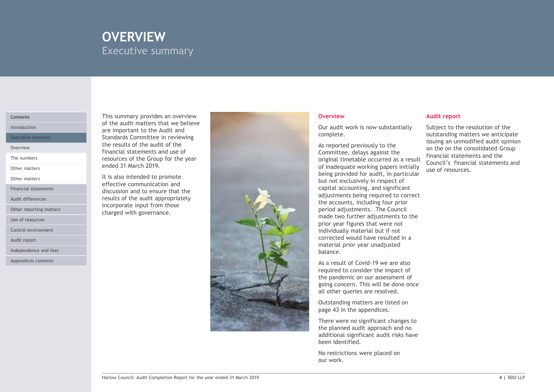# OVERVIEW EXECUTIVE SUMMARY Executive summary

The numbers

Other matters

Other matters

Audit differences

Other reporting matters

Use of resources

Control environment

Audit report

Independence and fees

Appendices contents

This summary provides an overview Contents of the audit matters that we believe Introduction **Exercise 2 are important to the Audit and Intervention Control of the Audit and Intervention Control of Terms 2 are important to the Audit and Intervention Control of Terms 2 are important to the Audit and In** Executive summary **Executive Standards Committee in reviewing** and the standard statement of the standards Committee in reviewing the results of the audit of the Overview **Example 2018** Chemical statements and use of the Chemical School of the Chemical School of the Chemical School of the Chemical School of the Chemical School of the Chemical School of the Chemical School of the Ch resources of the Group for the year ended 31 March 2019.

It is also intended to promote effective communication and Financial statements **Executes Executes and to ensure that the statements** results of the audit appropriately incorporate input from those charged with governance.



Our audit work is now substantially complete.

Committee, delays against the original timetable occurred as a result of inadequate working papers initially being provided for audit, in particular but not exclusively in respect of capital accounting, and significant adjustments being required to correct the accounts, including four prior period adjustments. The Council made two further adjustments to the prior year figures that were not individually material but if not corrected would have resulted in a material prior year unadjusted balance. Equita accounting, and signineant<br>adjustments being required to correct<br>the accounts, including four prior<br>made two further adjustments to the<br>moriv year figures that were not<br>individually material but if not<br>orrected woul

As a result of Covid-19 we are also required to consider the impact of the pandemic on our assessment of going concern. This will be done once all other queries are resolved.

Outstanding matters are listed on page 43 in the appendices.

There were no significant changes to the planned audit approach and no additional significant audit risks have been identified.

No restrictions were placed on

#### Overview Audit report

As reported previously to the second issuing an unmodified audit opinion Subject to the resolution of the outstanding matters we anticipate Audit report<br>Subject to the resolution of the<br>outstanding matters we anticipate<br>issuing an unmodified audit opinion<br>on the on the consolidated Group<br>financial statements and the<br>Council's financial statements and<br>use of re on the on the consolidated Group financial statements and the Council's financial statements and use of resources.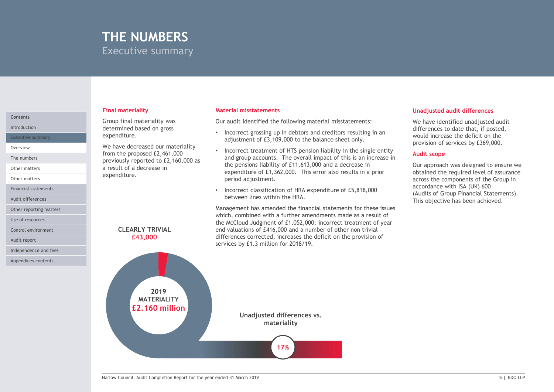## THE NUMBERS Executive summary

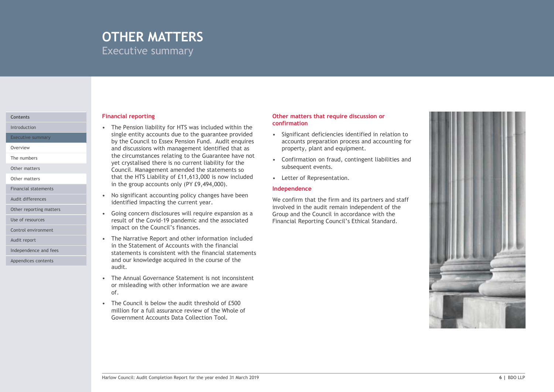## OTHER MATTERS Executive summary

Executive summary

The numbers

Other matters

Financial statements

Use of resources

Control environment

Independence and fees

Appendices contents

#### **Financial reporting Contents of the Content of Trumpers** Contents of the Contents of the Content of the Content of Trumpers of the Content of the Content of the Content of the Content of the Content of the Content of the

**COTHER MATTERS**<br>
Executive summary<br>
Financial reporting<br>
• The Pension liability for HTS was included within the<br>
single entity accounts due to the guarantee provided<br>
• Significant deficition<br>
the Council to Essex Pensio single entity accounts due to the guarantee provided  $\bullet$  Significant deficiencies identified in relation to by the Council to Essex Pension Fund. Audit enquires and discussions with management identified that as Overview the circumstances relating to the Guarantee have not<br>the confirmation on fraud, contingent liabilities and<br> $\bullet$  Confirmation on fraud, contingent liabilities and **THER MATTERS**<br>
examples are all the summary<br>
The Pension liability for HTS was included within the<br>
single entity accounts due to the guarantee provide<br>
Significant deficiencies identifie<br>
by the Council to Essex Pension THER MATTERS<br>
eccutive summary<br>
ancial reporting<br>
The Pension liability for HTS was included within the<br>
single entity accounts due to the guarantee provided<br>
by the Council. One says persion Fund. And the engines<br>
and dis that the HTS Liability of £11,613,000 is now included • Letter of Representation. in the group accounts only (PY £9,494,000). **CTHER MATTERS**<br>
Executive summary<br>
Financial reporting<br>
Financial reporting<br>
Financial reporting contribution<br>
significant deficition is due to the guarantee provided<br>
by the Council to Essex Pension Fund. Audit enquires<br> **Executive summary**<br>
• The Pension liability for HTS was included within the<br>
• The Pension liability for HTS was included within the<br>
• confirmation<br>
• significant deficity<br>
are counts to the guarantee provided<br>
• signif **Financial reporting**<br>
• The Pension liability for HTS was included within the<br> **Confirmation**<br>
signe entity accounts due to the guarantee provided<br>
by the Council to Essex Pension Fund. Audit enquires<br>
and discussions wi **Financial reporting**<br>
• The Pension liability for HTS was included within the<br>
single entity accounts due to the guarantee provided<br>
• Significant deficiend<br>
and single entity accounts are too find. Audit enquires<br>
and d is mighe entity accounts due to the guarantee provided<br>solid that defining the council to Essex Pension Fund. Audit enquires<br>and discussions with management identified that as<br>property, plant a<br>the circumstances relating t Introduction **Intervention 1989 1989 1989 1989 1989 1989 1989 1989 1989 1989 1989 1989 1989 1989 1989 1989 1989 1989 1989 1989 1989 1989 1989 1989 1989 1989 1989 1989** Other matters **Council.** Management amended the statements so

- identified impacting the current year. Audit differences **Audit differences** • No significant accounting policy changes have been
- result of the Covid-19 pandemic and the associated impact on the Council's finances. Other reporting matters **COLOGY COLOGY COLOGY COLOGY COLOGY COLOGY COLOGY COLOGY COLOGY COLOGY COLOGY COLOGY COLOGY COLOGY COLOGY COLOGY COLOGY COLOGY COLOGY COLOGY COLOGY COLOGY**
- in the Statement of Accounts with the financial statements is consistent with the financial statements and our knowledge acquired in the course of the audit. Audit report **Audit report Audit report and other information included •** The Narrative Report and other information included
	- or misleading with other information we are aware of.
	- million for a full assurance review of the Whole of Government Accounts Data Collection Tool.

#### Other matters that require discussion or confirmation

- accounts preparation process and accounting for property, plant and equipment.
- subsequent events.
- 

#### Independence

We confirm that the firm and its partners and staff involved in the audit remain independent of the Financial Reporting Council's Ethical Standard.

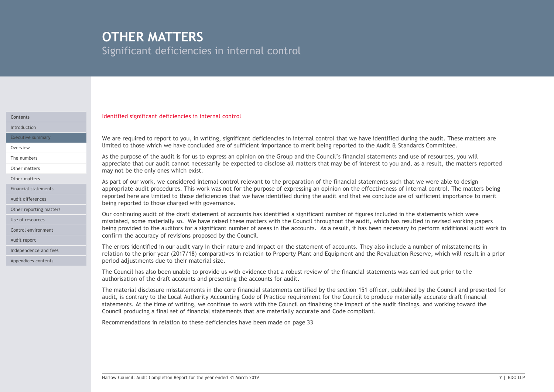# OTHER MATTERS

Significant deficiencies in internal control

#### Identified significant deficiencies in internal control Contents

Introduction

Audit differences Other reporting matters

Control environment

Independence and fees Appendices contents

Audit report

limited to those which we have concluded are of sufficient importance to merit being reported to the Audit & Standards Committee. Overview Executive summary **Executive summary** We are required to report to you, in writing, significant deficiencies in internal control that we have identified during the audit. These matters are

**Stignificant deficiencies in internal control**<br>Stignificant deficiencies in internal control<br>We are required to report to you, in writing, significant deficiencies in internal control that we have identified during the au appreciate that our audit cannot necessarily be expected to disclose all matters that may be of interest to you and, as a result, the matters reported may not be the only ones which exist. Other matters The numbers and use of resources, you will the audit is for us to express an opinion on the Group and the Council's financial statements and use of resources, you will

**Significant deficiencies in internal control**<br>Significant deficiencies in internal control<br>Metrified significant deficiencies in internal control<br>Metrified significant deficiencies in internal control<br>Metrified variage of **OTHER MATTERS**<br>Significant deficiencies in internal control<br>We are required to report to you, in writing, significant deficiencies in internal control that we have identified during the audit. These matters are<br>timited to appropriate audit procedures. This work was not for the purpose of expressing an opinion on the effectiveness of internal control. The matters being Financial statements reported here are limited to those deficiencies that we have identified during the audit and that we conclude are of sufficient importance to merit being reported to those charged with governance. Other matters<br>As part of our work, we considered internal control relevant to the preparation of the financial statements such that we were able to design

Our continuing audit of the draft statement of accounts has identified a significant number of figures included in the statements which were Use of resources **the container and the materially so.** We have raised these matters with the Council throughout the audit, which has resulted in revised working papers and the sulted in revised working papers being provided to the auditors for a significant number of areas in the accounts. As a result, it has been necessary to perform additional audit work to confirm the accuracy of revisions proposed by the Council.

> The errors identified in our audit vary in their nature and impact on the statement of accounts. They also include a number of misstatements in relation to the prior year (2017/18) comparatives in relation to Property Plant and Equipment and the Revaluation Reserve, which will result in a prior period adjustments due to their material size.

authorisation of the draft accounts and presenting the accounts for audit.

Our continuing audit of the draft statement of accounts has identified a significant number of figures included in the statements which were<br>missated, some materally os. We have raised these matters with the Council throug Mentified significant deficiencies in internal control<br>We are required to report to you, in writing, significant deficiences in internal control that we have identified during the audit. These matters are<br>limited to those We are required to report to you, in writing, significant deficiencies in internal control that we have identified during the audit. These matters are limited to those which we have concluded are of sufficient importance t We are required to report to you, in writing, significant deficiencies in internal control that we have identified during the audit. These matters are limited to those which we have also the Auth in procedured in the Local statements. At the time of writing, we continue to work with the Council on finalising the impact of the audit findings, and working toward the Council producing a final set of financial statements that are materially accurate and Code compliant.

Recommendations in relation to these deficiencies have been made on page 33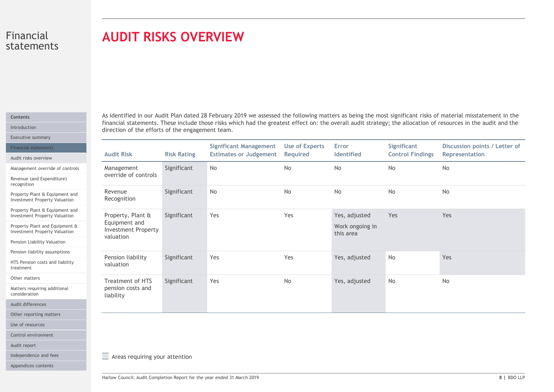# AUDIT RISKS OVERVIEW

#### Contents

|  |  | -inancial statements |  |  |
|--|--|----------------------|--|--|
|  |  |                      |  |  |

|  | <b>AUGIL FISKS OVERVIEW</b> |  |
|--|-----------------------------|--|
|  |                             |  |

Other matters

Use of resources

Audit report

| direction of the efforts of the engagement team.<br>Executive summary                                                                                                                                                                                            |                    |                                                                |                                   |                                               |                                        | As identified in our Audit Plan dated 28 February 2019 we assessed the following matters as being the most significant risks of material misstatement in the<br>financial statements. These include those risks which had the greatest effect on: the overall audit strategy; the allocation of resources in the audit and the |
|------------------------------------------------------------------------------------------------------------------------------------------------------------------------------------------------------------------------------------------------------------------|--------------------|----------------------------------------------------------------|-----------------------------------|-----------------------------------------------|----------------------------------------|--------------------------------------------------------------------------------------------------------------------------------------------------------------------------------------------------------------------------------------------------------------------------------------------------------------------------------|
| <b>Financial statements</b><br><b>Audit Risk</b><br>Audit risks overview                                                                                                                                                                                         | <b>Risk Rating</b> | <b>Significant Management</b><br><b>Estimates or Judgement</b> | <b>Use of Experts</b><br>Required | Error<br>Identified                           | Significant<br><b>Control Findings</b> | Discussion points / Letter of<br>Representation                                                                                                                                                                                                                                                                                |
| Management<br>Management override of controls<br>override of controls<br>Revenue (and Expenditure)                                                                                                                                                               | Significant        | No                                                             | No                                | No                                            | No                                     | No                                                                                                                                                                                                                                                                                                                             |
| Revenue<br>Property Plant & Equipment and<br>Recognition<br><b>Investment Property Valuation</b>                                                                                                                                                                 | Significant        | No                                                             | No                                | No                                            | No                                     | No                                                                                                                                                                                                                                                                                                                             |
| Property Plant & Equipment and<br>Property, Plant &<br><b>Investment Property Valuation</b><br>Equipment and<br>Property Plant and Equipment &<br><b>Investment Property</b><br><b>Investment Property Valuation</b><br>valuation<br>Pension Liability Valuation | Significant        | Yes                                                            | Yes                               | Yes, adjusted<br>Work ongoing in<br>this area | Yes                                    | Yes                                                                                                                                                                                                                                                                                                                            |
| Pension liability assumptions<br>Pension liability                                                                                                                                                                                                               | Significant        | Yes                                                            | Yes                               | Yes, adjusted                                 | No                                     | Yes                                                                                                                                                                                                                                                                                                                            |
| HTS Pension costs and liability<br>valuation                                                                                                                                                                                                                     |                    |                                                                |                                   |                                               |                                        |                                                                                                                                                                                                                                                                                                                                |
| Treatment of HTS<br>pension costs and<br>liability                                                                                                                                                                                                               | Significant        | Yes                                                            | No                                | Yes, adjusted                                 | No                                     | No                                                                                                                                                                                                                                                                                                                             |
| Matters requiring additional<br>Other reporting matters<br>Control environment                                                                                                                                                                                   |                    |                                                                |                                   |                                               |                                        |                                                                                                                                                                                                                                                                                                                                |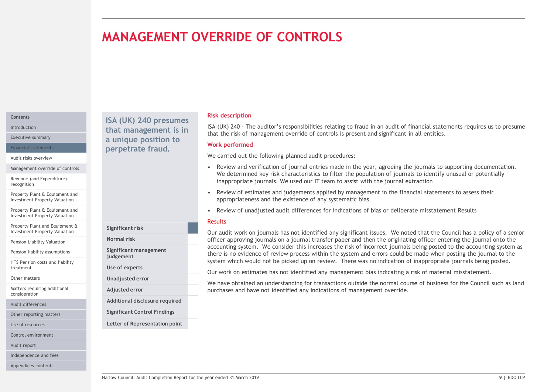# MANAGEMENT OVERRIDE OF CONTROLS

#### **Contents**

Audit risks overview

Management override of controls

Revenue (and Expenditure) recognition

Property Plant & Equipment and Investment Property Valuation

Property Plant & Equipment and Investment Property Valuation

Property Plant and Equipment & Investment Property Valuation

Pension Liability Valuation **Exercise Services** Normal risk

Pension liability assumptions

HTS Pension costs and liability treatment

Other matters

Matters requiring additional consideration

Audit differences

Other reporting matters

Use of resources

Control environment

Audit report

Independence and fees

Appendices contents

Introduction **that management is in**  $I_{\text{A}}(UK)$   $I_{\text{A}}(UK)$  and  $I_{\text{B}}(UK)$  and  $I_{\text{B}}(IK)$ Executive summary **Executive summary a unique position to West Bank** Financial statements **Example 19 Perpetrate fraud.** The contracter of the contracted of the contracted of the contracted of the contracted of the contracted of the contracted of the contracted of the contracted of the cont

Significant risk

judgement Use of experts Unadjusted error Adjusted error

Significant management

Additional disclosure required Significant Control Findings Letter of Representation point

#### Risk description

**ISA (UK) 240 - The auditor's responsibilities relating to fraud in an audit of financial statements requires us to presume that the risk of management override of controls is present and significant in all entities.<br>Werk** that the risk of management override of controls is present and significant in all entities. ISA (UK) 240 presumes<br>that management is in ISA (UK) 240 - The auditor's responsibilities relating to fraud in an audit of financial statements requires us to presume

#### Work performed

We carried out the following planned audit procedures:

- FIRANCE SECT AND TROLS<br>
FIRAL CONSIDENCIAL CONSIDER SECTION OF THE ANDER CONSIDENT OF THE ANDER ON THE ANDER OF THE ANDER OF THE ANDER OF THE ANDER THE SCHOOL OF THE ANDER THE SCHOOL OF JOURNAL CONSIDERATION OF JOURNAL CON We determined key risk characteristics to filter the population of journals to identify unusual or potentially inappropriate journals. We used our IT team to assist with the journal extraction **ERRIDE OF CONTROLS**<br> **EAST AND 240 - The auditor's responsibilities relating to fraud in an audit of financial statements requires us to presume<br>
that the risk of management override of controls is present and significant**
- appropriateness and the existence of any systematic bias
- 

#### Results

Faculti and the state of madjusted audit differences for indications of bias or deliberate misstatement Results<br>
Reported that the Council has a policy of a senior<br>
Normal risk completion Report and Discussion on a Journal **REVIEW ORT CONTROLL CONTROLL CONTROLL CONTROLL CONTROLL CONTROLL**<br>
SIGN (UK) 240 - The auditor's responsibilities relating to fraud in an audit of financial statements requires us to presume<br>
that the risk of management o Our audit work on journals has not identified any significant issues. We noted that the Council has a policy of a senior officer approving journals on a journal transfer paper and then the originating officer entering the journal onto the Normal risk accounting system. We consider this increases the risk of incorrect journals being posted to the accounting system as there is no evidence of review process within the system and errors could be made when posting the journal to the system which would not be picked up on review. There was no indication of inappropriate journals being posted.

Our work on estimates has not identified any management bias indicating a risk of material misstatement.

We have obtained an understanding for transactions outside the normal course of business for the Council such as land purchases and have not identified any indications of management override.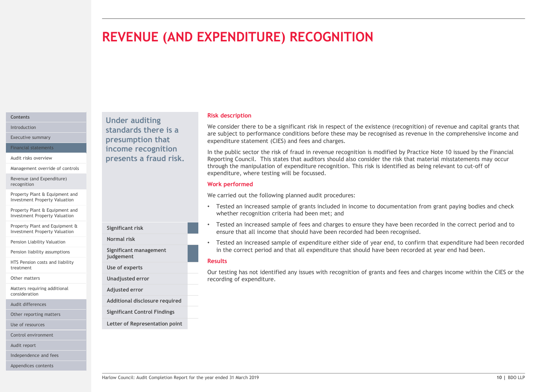# REVENUE (AND EXPENDITURE) RECOGNITION

#### Contents

Management override of controls

Revenue (and Expenditure) recognition

Property Plant & Equipment and Investment Property Valuation

Property Plant & Equipment and Investment Property Valuation

Property Plant and Equipment & Investment Property Valuation

Pension Liability Valuation **Exercise Services** Normal risk

Pension liability assumptions

HTS Pension costs and liability treatment

Other matters

Matters requiring additional consideration

Audit differences

Other reporting matters

Use of resources

Control environment

Audit report

Independence and fees

Appendices contents

Under auditing Introduction **Standards there is a** We consider the Unitroduction Executive summary **Executive summary presumption that** expenditure expenditure Financial statements **Example 20 income recognition** and the public Audit risks overview **Exercise Service Service Service Connect Presents a fraud risk.** Reporting Council.

Significant risk

judgement Use of experts Unadjusted error Adjusted error

Significant management

Additional disclosure required Significant Control Findings Letter of Representation point

#### Risk description

We consider there to be a significant risk in respect of the existence (recognition) of revenue and capital grants that are subject to performance conditions before these may be recognised as revenue in the comprehensive income and expenditure statement (CIES) and fees and charges.

In the public sector the risk of fraud in revenue recognition is modified by Practice Note 10 issued by the Financial Reporting Council. This states that auditors should also consider the risk that material misstatements may occur through the manipulation of expenditure recognition. This risk is identified as being relevant to cut-off of expenditure, where testing will be focussed.

#### Work performed

We carried out the following planned audit procedures:

- Tested an increased sample of grants included in income to documentation from grant paying bodies and check whether recognition criteria had been met; and
- Tested an increased sample of fees and charges to ensure they have been recorded in the correct period and to ensure that all income that should have been recorded had been recognised.
- Tested an increased sample of expenditure either side of year end, to confirm that expenditure had been recorded Normal risk in the correct period and that all expenditure that should have been recorded at year end had been.

#### Results

Figure 1 and increased sample of grants and necessary and enecestive methods in microme to documentation from grant paying bootes and check<br>
Mether recognition criteria had been method above been accorded in the correct pe Our testing has not identified any issues with recognition of grants and fees and charges income within the CIES or the recording of expenditure.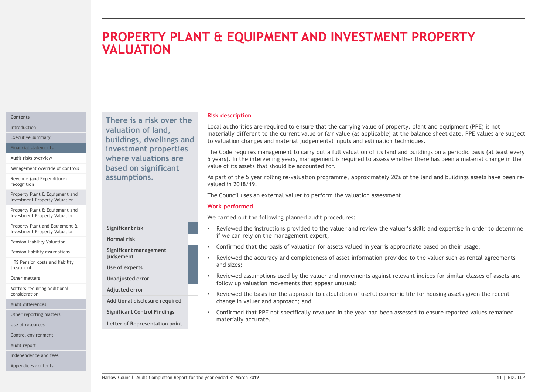# THE **EQUIPMENT AND INVESTMENT PROPERTY**<br>
Risk description<br>
local authorities are required to ensure that the carrying value of property, plant and equipment (PPE) is not<br>
materially different to the current value of fair v PROPERTY PLANT & EQUIPMENT AND INVESTMENT PROPERTY **VALUATION**

#### **Contents**

Management override of controls

Revenue (and Expenditure) recognition

Property Plant & Equipment and Investment Property Valuation

Property Plant & Equipment and Investment Property Valuation

Property Plant and Equipment & Investment Property Valuation

Pension Liability Valuation

Pension liability assumptions

HTS Pension costs and liability treatment

Other matters

Matters requiring additional consideration

Audit differences

Other reporting matters

Use of resources

Control environment

Audit report

Independence and fees

Appendices contents

There is a risk over the Introduction **Example 2 Valuation of land, Example 2 LOCAL AUTH** Executive summary **Executive summary Executive summary Executive summary Executive summary** Financial statements **Example 11 investment properties** The Code require Audit risks overview **EXEC EXECUTE:** Where valuations are **the set of Syears**). In the based on significant assumptions.

Normal risk

Use of experts

Adjusted error

Significant management

Significant Control Findings Letter of Representation point

Risk description

Local authorities are required to ensure that the carrying value of property, plant and equipment (PPE) is not materially different to the current value or fair value (as applicable) at the balance sheet date. PPE values are subject to valuation changes and material judgemental inputs and estimation techniques.

The Code requires management to carry out a full valuation of its land and buildings on a periodic basis (at least every 5 years). In the intervening years, management is required to assess whether there has been a material change in the value of its assets that should be accounted for. **Risk description**<br>
Risk description<br>
Risk description<br>
Incastrially different to the current value of six value (as applicable) at the balance sheet date. PPE values are subject<br>
to valuation changes and material in outer **Risk description**<br>
Local authorities are required to ensure that the carrying value of property, plant and equipment (PPE) is not<br>
materially different to the current value of rair value (as applicable) at the balance she **Risk description**<br>
Risk description<br>
Local authorities are required to ensure value or fair value (as applicable) at the balance sheet date. PPE values are subject<br>
materially different to the current value or fair value terially different to the current value or fair value (as applicable) at the balance sheet date. PPE-<br>cludication changes and material judgemental inputs and estimation techniques.<br>Code requires management to carry out a f

As part of the 5 year rolling re-valuation programme, approximately 20% of the land and buildings assets have been revalued in 2018/19.

#### Work performed

We carried out the following planned audit procedures:

- Significant risk<br>
We carried out the following planned audit procedures:<br>
We carried out the following planned to the valuer and review the valuer's skills and expertise in order to determine<br>
Significant management<br>
Signi if we can rely on the management expert; Significant risk **Significant risk** entertainment of the viewed the instructions provided to the valuer and review the valuer's skills and expertise in order to determine
	- Confirmed that the basis of valuation for assets valued in year is appropriate based on their usage;
- and sizes; judgement example the accuracy and completeness of asset information provided to the valuer such as rental agreements
- follow up valuation movements that appear unusual; Unadjusted error **Starfer Engles** • Reviewed assumptions used by the valuer and movements against relevant indices for similar classes of assets and
- Reviewed the basis for the approach to calculation of useful economic life for housing assets given the recent Additional disclosure required entity change in valuer and approach; and
	- Confirmed that PPE not specifically revalued in the year had been assessed to ensure reported values remained materially accurate.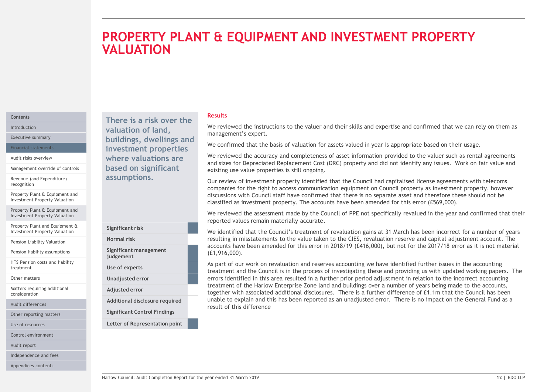# **EQUIPMENT AND INVESTMENT PROPERTY**<br>
We reviewed the instructions to the valuer and their skills and expertise and confirmed that we can rely on them as<br>
management's expert.<br>
We confirmed that the basis of valuation for a **EQUIPMENT AND INVESTMENT PROPERTY**<br>
We reviewed the instructions to the valuer and their skills and expertise and confirmed that we can rely on them as<br>
We reviewed the instructions to the valuer and their skills and expe PROPERTY PLANT & EQUIPMENT AND INVESTMENT PROPERTY **VALUATION**

#### **Contents**

Management override of controls

Revenue (and Expenditure) recognition

Property Plant & Equipment and Investment Property Valuation

Property Plant & Equipment and Investment Property Valuation

Property Plant and Equipment & Investment Property Valuation

Pension Liability Valuation **Exercise Services** Normal risk

Pension liability assumptions

HTS Pension costs and liability treatment

Other matters

Matters requiring additional consideration

Other reporting matters

Use of resources

Control environment

Audit report

Independence and fees

Appendices contents

Introduction **We review valuation of land,** We review Executive summary **Executive summary buildings, dwellings and Meanwhile** that Financial statements **Example 11 investment properties** and the communical diversion of the communical diversion Audit risks overview **Audit risks overview Audit risks overview** and circle the **Audit risks** overviewed the experiment of  $\mathbb{R}^n$ based on significant

## Significant risk Significant management judgement Use of experts Unadjusted error Adjusted error Significant Control Findings Letter of Representation point Audit differences **Auditional disclosure required**

#### Results

management's expert. There is a risk over the<br>and the instructions to the valuer and their skills and expertise and confirmed that we can rely on them as

We confirmed that the basis of valuation for assets valued in year is appropriate based on their usage.

and sizes for Depreciated Replacement Cost (DRC) property and did not identify any issues. Work on fair value and existing use value properties is still ongoing.

**COUPMENT AND INVESTMENT PROPERTY**<br>We reviewed the instructions to the valuer and their skills and expertise and confirmed that we can rely on them as<br>management's expert.<br>We confirmed that the basis of valuation for asset companies for the right to access communication equipment on Council property as investment property, however discussions with Council staff have confirmed that there is no separate asset and therefore these should not be classified as investment property. The accounts have been amended for this error (£569,000). assumptions. Our review of investment property identified that the Council had capitalised license agreements with telecoms

We reviewed the assessment made by the Council of PPE not specifically revalued in the year and confirmed that their reported values remain materially accurate.

We identified that the Council's treatment of revaluation gains at 31 March has been incorrect for a number of years resulting in misstatements to the value taken to the CIES, revaluation reserve and capital adjustment account. The Normal risk accounts have been amended for this error in 2018/19 (£416,000), but not for the 2017/18 error as it is not material (£1,916,000).

Significant risk<br>
We reviewed vehicle that the Council's treatment materially accurate.<br>
We identified that the Council's treatment of revaluation gains at 31 March has been incorrect for a number of years<br>
Now identified As part of our work on revaluation and reserves accounting we have identified further issues in the accounting treatment and the Council is in the process of investigating these and providing us with updated working papers. The errors identified in this area resulted in a further prior period adjustment in relation to the incorrect accounting treatment of the Harlow Enterprise Zone land and buildings over a number of years being made to the accounts, together with associated additional disclosures. There is a further difference of £1.1m that the Council has been Additional disclosure required unable to explain and this has been reported as an unadjusted error. There is no impact on the General Fund as a result of this difference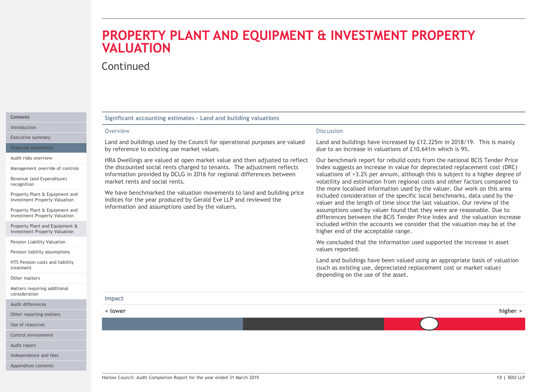# PROPERTY PLANT AND EQUIPMENT & INVESTMENT PROPERTY **VALUATION PROPERTY PLANT AND EQUIPMENT & INVESTMENT F**<br>
Significant accounting estimates - Land and building valuations<br>
Significant accounting estimates - Land and building valuations<br>
Discussion<br>
Discussion data distributions of **PROPERTY PLANT AND EQUIPMENT & INVEST**<br>
Significant accounting estimates - Land and building valuations<br>
Discussion<br>
Discussion<br>
Discussion<br>
Discussion<br>
Discussion<br>
Discussion<br>
Discussion<br>
Discussion<br>
Discussion<br>
Discussi

#### Continued

Introduction **Districts CONSIDERED PROPERTY ISSUED:** OVERVIEW

Executive summary

Management override of controls

Revenue (and Expenditure) recognition

Property Plant & Equipment and<br>Investment Property Valuation

Property Plant & Equipment and Investment Property Valuation

Property Plant and Equipment & Investment Property Valuation

Pension Liability Valuation

Pension liability assumptions

HTS Pension costs and liability treatment

Other matters

Matters requiring additional consideration

Audit differences

Use of resources

Control environment

Audit report

Independence and fees

Appendices contents

#### Significant accounting estimates - Land and building valuations

#### Overview

Land and buildings used by the Council for operational purposes are valued Financial statements **by reference to existing use market values.** 

the discounted social rents charged to tenants. The adjustment reflects information provided by DCLG in 2016 for regional differences between market rents and social rents. Audit risks overview **EXEC EXECUTES AUGE CONCRUSTER** HRA Dwellings are valued at open market value and then adjusted to reflect

Investment Property Valuation **indices for the year produced by Gerald Eve LLP** and reviewed the medical section information and assumptions used by the valuers.

#### **Discussion**

Land and buildings have increased by £12.225m in 2018/19. This is mainly due to an increase in valuations of £10.641m which is 9%.

We have benchmarked the valuation movements to land and building price the more localised information used by the valuer. Our work on this area<br>included consideration of the specific local benchmarks, data used by the Our benchmark report for rebuild costs from the national BCIS Tender Price Index suggests an increase in value for depreciated replacement cost (DRC) valuations of +3.2% per annum, although this is subject to a higher degree of volatility and estimation from regional costs and other factors compared to **EFRIMENT PROPERTY**<br>
Discussion<br>
Land and buildings have increased by £12.225m in 2018/19. This is mainly<br>
due to an increase in valuations of £10.641m which is 9%.<br>
Our benchmark report for rebuild costs from the national **ENVESTMENT PROPERTY**<br>
Discussion<br>
Land and buildings have increased by £12.225m in 2018/19. This is mainly<br>
due to an increase in valuations of £10.641m which is 9%.<br>
Our benchmark report for rebuild costs from the nation Discussion<br>Discussion<br>Land and buildings have increased by £12.225m in 2018/19. This is mainly<br>due to an increase in valuations of £10.641m which is 9%.<br>Our benchmark report for rebuild costs from the national BCIS Tender Discussion<br>Discussion<br>Land and buildings have increased by £12.225m in 2018/19. This is mainly<br>due to an increase in valuations of £10.641m which is 9%.<br>Our benchmark report for rebuild costs from the national BCIS Tender differences between the BCIS Tender Price Index and the valuation increase included within the accounts we consider that the valuation may be at the higher end of the acceptable range.

We concluded that the information used supported the increase in asset values reported.

Land and buildings have been valued using an appropriate basis of valuation (such as existing use, depreciated replacement cost or market value) depending on the use of the asset.

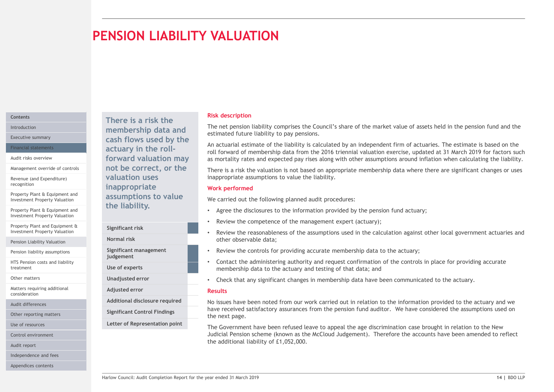# PENSION LIABILITY VALUATION

#### **Contents**

Management override of controls

Revenue (and Expenditure)

Property Plant & Equipment and Investment Property Valuation

Property Plant & Equipment and Investment Property Valuation

Property Plant and Equipment & Investment Property Valuation

Pension Liability Valuation **Exercise Services** Normal risk

Pension liability assumptions

HTS Pension costs and liability treatment

Other matters

Matters requiring additional consideration

Other reporting matters

Use of resources

Control environment

Audit report

Independence and fees

Appendices contents

There is a risk the Introduction **Exercise Property Controllership data and** Internet pension Executive summary **Executive summary Cash flows used by the** Financial statements **Exercise 2 Contains a Setuary in the roll-**Audit risks overview **Example 20 Forward valuation may** as mortality rates not be correct, or the valuation uses recognition **Exercise Exercise Exercise Contract Contract Contract Contract Contract Contract Contract Contract Contract Contract Contract Contract Contract Contract Contract Contract Contract Contract Contract Contract Co** assumptions to value the liability.

Significant risk

Significant management judgement

Use of experts

Unadjusted error

Adjusted error

Audit differences **Auditional disclosure required** 

Significant Control Findings Letter of Representation point

#### Risk description

The net pension liability comprises the Council's share of the market value of assets held in the pension fund and the estimated future liability to pay pensions.

An actuarial estimate of the liability is calculated by an independent firm of actuaries. The estimate is based on the roll forward of membership data from the 2016 triennial valuation exercise, updated at 31 March 2019 for factors such as mortality rates and expected pay rises along with other assumptions around inflation when calculating the liability.

There is a risk the valuation is not based on appropriate membership data where there are significant changes or uses inappropriate assumptions to value the liability.

#### Work performed

We carried out the following planned audit procedures:

- Agree the disclosures to the information provided by the pension fund actuary;
- Review the competence of the management expert (actuary);
- Review the reasonableness of the assumptions used in the calculation against other local government actuaries and other observable data; Normal risk
	- Review the controls for providing accurate membership data to the actuary;
	- Contact the administering authority and request confirmation of the controls in place for providing accurate membership data to the actuary and testing of that data; and
	- Check that any significant changes in membership data have been communicated to the actuary.

#### Results

ETHE ITADILITY.<br>
Significant risk<br>
Significant risk<br>
Review the completence of the amagement experiment actuaries and<br>
Normal risk<br>
Significant management<br>
Significant management<br>
Significant management<br>
Significant manage Additional disclosure required how issues have been noted from our work carried out in relation to the information provided to the actuary and we hadditional disclosure required to the actuary and we have received satisfactory assurances from the pension fund auditor. We have considered the assumptions used on the next page.

The Government have been refused leave to appeal the age discrimination case brought in relation to the New Judicial Pension scheme (known as the McCloud Judgement). Therefore the accounts have been amended to reflect the additional liability of £1,052,000.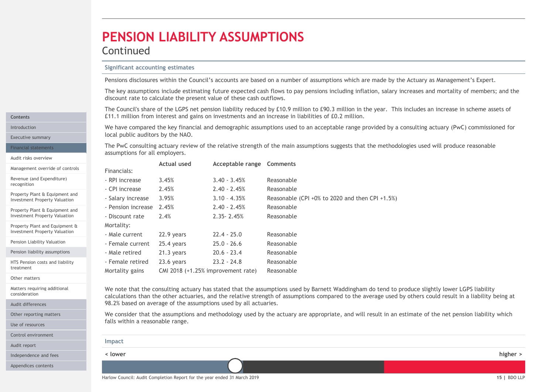# PENSION LIABILITY ASSUMPTIONS

#### Continued

**PENSION LIABILITY ASSUMPTIONS**<br> **Significant accounting estimates**<br> **Pensions disclosures within the Council's accounts are based on a number of assumptions where they assumptions include estimating future expected cash f** The key assumptions include estimating future expected cash flows to pay pensions including inflation, salary increases and mortality of members; and the discount rate to calculate the present value of these cash outflows.

**PENSION LIABILITY ASSUMPTIONS**<br>
Significant accounting estimates<br>
Pensions disclosures within the Council's accounts are based on a number of assumptions which are made by the Actuary as Management's Expert.<br>
The key assu **PENSION LIABILITY ASSUMPTIONS**<br>
Significant accounting estimates<br>
Pensions disclosures within the Council's accounts are based on a number of assumptions which are made by the Actuary as Management's Expert.<br>
The key assu Introduction **Starting actuary (PWC)** commissioned for the key financial and demographic assumptions used to an acceptable range provided by a consulting actuary (PWC) commissioned for Executive summary **Executive summary Executive summary** 

| <b>Significant accounting estimates</b><br>Pensions disclosures within the Council's accounts are based on a number of assumptions which are made by the Actuary as Management's Expert.<br>The key assumptions include estimating future expected cash flows to pay pensions including inflation, salary increases and mortality of members; and the<br>discount rate to calculate the present value of these cash outflows.<br>The Council's share of the LGPS net pension liability reduced by £10.9 million to £90.3 million in the year. This includes an increase in scheme assets of<br>£11.1 million from interest and gains on investments and an increase in liabilities of £0.2 million.<br>We have compared the key financial and demographic assumptions used to an acceptable range provided by a consulting actuary (PwC) commissioned for<br>local public auditors by the NAO. |          |
|------------------------------------------------------------------------------------------------------------------------------------------------------------------------------------------------------------------------------------------------------------------------------------------------------------------------------------------------------------------------------------------------------------------------------------------------------------------------------------------------------------------------------------------------------------------------------------------------------------------------------------------------------------------------------------------------------------------------------------------------------------------------------------------------------------------------------------------------------------------------------------------------|----------|
|                                                                                                                                                                                                                                                                                                                                                                                                                                                                                                                                                                                                                                                                                                                                                                                                                                                                                                |          |
|                                                                                                                                                                                                                                                                                                                                                                                                                                                                                                                                                                                                                                                                                                                                                                                                                                                                                                |          |
|                                                                                                                                                                                                                                                                                                                                                                                                                                                                                                                                                                                                                                                                                                                                                                                                                                                                                                |          |
|                                                                                                                                                                                                                                                                                                                                                                                                                                                                                                                                                                                                                                                                                                                                                                                                                                                                                                |          |
|                                                                                                                                                                                                                                                                                                                                                                                                                                                                                                                                                                                                                                                                                                                                                                                                                                                                                                |          |
| The PwC consulting actuary review of the relative strength of the main assumptions suggests that the methodologies used will produce reasonable<br>assumptions for all employers.                                                                                                                                                                                                                                                                                                                                                                                                                                                                                                                                                                                                                                                                                                              |          |
| Actual used<br>Acceptable range Comments<br>Financials:                                                                                                                                                                                                                                                                                                                                                                                                                                                                                                                                                                                                                                                                                                                                                                                                                                        |          |
| $3.40 - 3.45%$<br>3.45%<br>Reasonable<br>- RPI increase                                                                                                                                                                                                                                                                                                                                                                                                                                                                                                                                                                                                                                                                                                                                                                                                                                        |          |
| - CPI increase<br>2.45%<br>$2.40 - 2.45%$<br>Reasonable                                                                                                                                                                                                                                                                                                                                                                                                                                                                                                                                                                                                                                                                                                                                                                                                                                        |          |
| - Salary increase<br>3.95%<br>$3.10 - 4.35%$<br>Reasonable (CPI +0% to 2020 and then CPI +1.5%)                                                                                                                                                                                                                                                                                                                                                                                                                                                                                                                                                                                                                                                                                                                                                                                                |          |
| $2.40 - 2.45%$<br>- Pension increase 2.45%<br>Reasonable                                                                                                                                                                                                                                                                                                                                                                                                                                                                                                                                                                                                                                                                                                                                                                                                                                       |          |
| 2.4%<br>$2.35 - 2.45%$<br>Reasonable<br>- Discount rate                                                                                                                                                                                                                                                                                                                                                                                                                                                                                                                                                                                                                                                                                                                                                                                                                                        |          |
| Mortality:                                                                                                                                                                                                                                                                                                                                                                                                                                                                                                                                                                                                                                                                                                                                                                                                                                                                                     |          |
| $22.4 - 25.0$<br>- Male current<br>22.9 years<br>Reasonable                                                                                                                                                                                                                                                                                                                                                                                                                                                                                                                                                                                                                                                                                                                                                                                                                                    |          |
| $25.0 - 26.6$<br>- Female current<br>25.4 years<br>Reasonable                                                                                                                                                                                                                                                                                                                                                                                                                                                                                                                                                                                                                                                                                                                                                                                                                                  |          |
| $20.6 - 23.4$<br>Reasonable<br>- Male retired<br>21.3 years                                                                                                                                                                                                                                                                                                                                                                                                                                                                                                                                                                                                                                                                                                                                                                                                                                    |          |
| $23.2 - 24.8$<br>- Female retired<br>Reasonable<br>23.6 years                                                                                                                                                                                                                                                                                                                                                                                                                                                                                                                                                                                                                                                                                                                                                                                                                                  |          |
| CMI 2018 (+1.25% improvement rate)<br>Mortality gains<br>Reasonable                                                                                                                                                                                                                                                                                                                                                                                                                                                                                                                                                                                                                                                                                                                                                                                                                            |          |
| We note that the consulting actuary has stated that the assumptions used by Barnett Waddingham do tend to produce slightly lower LGPS liability<br>calculations than the other actuaries, and the relative strength of assumptions compared to the average used by others could result in a liability being at<br>98.2% based on average of the assumptions used by all actuaries.<br>We consider that the assumptions and methodology used by the actuary are appropriate, and will result in an estimate of the net pension liability which<br>falls within a reasonable range.                                                                                                                                                                                                                                                                                                              |          |
| Impact                                                                                                                                                                                                                                                                                                                                                                                                                                                                                                                                                                                                                                                                                                                                                                                                                                                                                         |          |
| < lower                                                                                                                                                                                                                                                                                                                                                                                                                                                                                                                                                                                                                                                                                                                                                                                                                                                                                        | higher > |
|                                                                                                                                                                                                                                                                                                                                                                                                                                                                                                                                                                                                                                                                                                                                                                                                                                                                                                |          |

Other matters

consideration

Audit differences

treatment

Contents

recognition

Financial statements Audit risks overview

Management override of controls Revenue (and Expenditure)

Property Plant & Equipment and Investment Property Valuation Property Plant & Equipment and Investment Property Valuation Property Plant and Equipment & Investment Property Valuation Pension Liability Valuation Pension liability assumptions HTS Pension costs and liability

Other reporting matters

Use of resources

Control environment

Audit report

Independence and fees

Appendices contents

calculations than the other actuaries, and the relative strength of assumptions compared to the average used by others could result in a liability being at 98.2% based on average of the assumptions used by all actuaries. Matters requiring additional We note that the consulting actuary has stated that the assumptions used by Barnett Waddingham do tend to produce slightly lower LGPS liability

| Impact  |          |
|---------|----------|
| < lower | higher > |
|         |          |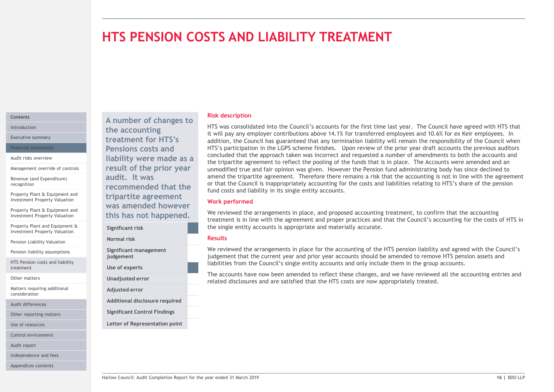# HTS PENSION COSTS AND LIABILITY TREATMENT

#### Contents

Management override of controls

Revenue (and Expenditure)

Property Plant & Equipment and Investment Property Valuation

Property Plant & Equipment and

Property Plant and Equipment & Significant risk Investment Property Valuation

Pension Liability Valuation

Pension liability assumptions

HTS Pension costs and liability treatment

Other matters

Matters requiring additional consideration

Audit differences

Other reporting matters

Use of resources

Control environment

Audit report

Independence and fees

Appendices contents

A number of changes to Introduction **EXECUTE:** The accounting **EXECUTE:** The interval of the second and the second terms of the second terms of the second terms of the second terms of the second terms of the second terms of the second terms of t Executive summary **Executive summary Executive summary Executive summary** Financial statements **Pensions costs and** HTS's partic Audit risks overview **Audit risks overview Audit risks overview Audit risks overview Audit Trumper Concerned Service** are not an expected to the tripartite agree result of the prior year audit. It was recognition **recommended that the** or that the Council tripartite agreement Investment Property Valuation **This has not happened.** We reviewed the arrar

We reviewed the arrangements in place, and proposed accounting treatment, to confirm that the accounting<br>
treatment is in line with the agreement and proper practices and that the Council's account<br>
Significant risk<br>
Signi Normal risk Significant management judgement Use of experts Unadjusted error Adjusted error Additional disclosure required Significant Control Findings Letter of Representation point

#### Risk description

HTS was consolidated into the Council's accounts for the first time last year. The Council have agreed with HTS that it will pay any employer contributions above 14.1% for transferred employees and 10.6% for ex Keir employees. In addition, the Council has guaranteed that any termination liability will remain the responsibility of the Council when HTS's participation in the LGPS scheme finishes. Upon review of the prior year draft accounts the previous auditors concluded that the approach taken was incorrect and requested a number of amendments to both the accounts and the tripartite agreement to reflect the pooling of the funds that is in place. The Accounts were amended and an unmodified true and fair opinion was given. However the Pension fund administrating body has since declined to amend the tripartite agreement. Therefore there remains a risk that the accounting is not in line with the agreement or that the Council is inappropriately accounting for the costs and liabilities relating to HTS's share of the pension fund costs and liability in its single entity accounts. Risk description<br>
HTS was consolidated into the Council's accounts for the first time last year. The Council have agreed with HTS that<br>
It will pay any employer contributions above 14.1% for transferred employees and 10.6%

#### Work performed

treatment is in line with the agreement and proper practices and that the Council's accounting for the costs of HTS in the single entity accounts is appropriate and materially accurate. Significant risk was amended however<br>
We reviewed the arrangements in place, and proposed accounting treatment, to confirm that the accounting<br>
We reviewed the arrangements in place, and proposed accounting treatment, to confirm that the a

#### Results

We reviewed the arrangements in place for the accounting of the HTS pension liability and agreed with the Council's judgement that the current year and prior year accounts should be amended to remove HTS pension assets and liabilities from the Council's single entity accounts and only include them in the group accounts.

The accounts have now been amended to reflect these changes, and we have reviewed all the accounting entries and related disclosures and are satisfied that the HTS costs are now appropriately treated.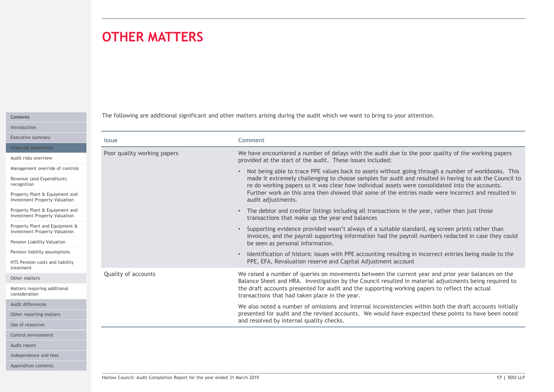# OTHER MATTERS

| Contents     |
|--------------|
| Introduction |

| <b>OTHER MATTERS</b>                                                                                      |                                                                                                                                                                                                                                                                                                                                                                                                                                                |
|-----------------------------------------------------------------------------------------------------------|------------------------------------------------------------------------------------------------------------------------------------------------------------------------------------------------------------------------------------------------------------------------------------------------------------------------------------------------------------------------------------------------------------------------------------------------|
|                                                                                                           | The following are additional significant and other matters arising during the audit which we want to bring to your attention.                                                                                                                                                                                                                                                                                                                  |
| <b>Issue</b>                                                                                              | <b>Comment</b>                                                                                                                                                                                                                                                                                                                                                                                                                                 |
| Poor quality working papers                                                                               | We have encountered a number of delays with the audit due to the poor quality of the working papers<br>provided at the start of the audit. These issues included:                                                                                                                                                                                                                                                                              |
| Management override of controls<br>Property Plant & Equipment and<br><b>Investment Property Valuation</b> | • Not being able to trace PPE values back to assets without going through a number of workbooks. This<br>made it extremely challenging to choose samples for audit and resulted in having to ask the Council to<br>re do working papers so it was clear how individual assets were consolidated into the accounts.<br>Further work on this area then showed that some of the entries made were incorrect and resulted in<br>audit adjustments. |
| Property Plant & Equipment and<br><b>Investment Property Valuation</b>                                    | • The debtor and creditor listings including all transactions in the year, rather than just those<br>transactions that make up the year end balances                                                                                                                                                                                                                                                                                           |
| Property Plant and Equipment &<br><b>Investment Property Valuation</b>                                    | Supporting evidence provided wasn't always of a suitable standard, eg screen prints rather than<br>invoices, and the payroll supporting information had the payroll numbers redacted in case they could                                                                                                                                                                                                                                        |
| Pension liability assumptions<br>HTS Pension costs and liability                                          | be seen as personal information.<br>• Identification of historic issues with PPE accounting resulting in incorrect entries being made to the<br>PPE, EFA, Revaluation reserve and Capital Adjustment account                                                                                                                                                                                                                                   |
| Quality of accounts                                                                                       | We raised a number of queries on movements between the current year and prior year balances on the                                                                                                                                                                                                                                                                                                                                             |
|                                                                                                           | Balance Sheet and HRA. Investigation by the Council resulted in material adjustments being required to<br>the draft accounts presented for audit and the supporting working papers to reflect the actual<br>transactions that had taken place in the year.                                                                                                                                                                                     |
|                                                                                                           | We also noted a number of omissions and internal inconsistencies within both the draft accounts initially<br>presented for audit and the revised accounts. We would have expected these points to have been noted<br>and resolved by internal quality checks.                                                                                                                                                                                  |
|                                                                                                           |                                                                                                                                                                                                                                                                                                                                                                                                                                                |
|                                                                                                           |                                                                                                                                                                                                                                                                                                                                                                                                                                                |
|                                                                                                           |                                                                                                                                                                                                                                                                                                                                                                                                                                                |
|                                                                                                           |                                                                                                                                                                                                                                                                                                                                                                                                                                                |
|                                                                                                           |                                                                                                                                                                                                                                                                                                                                                                                                                                                |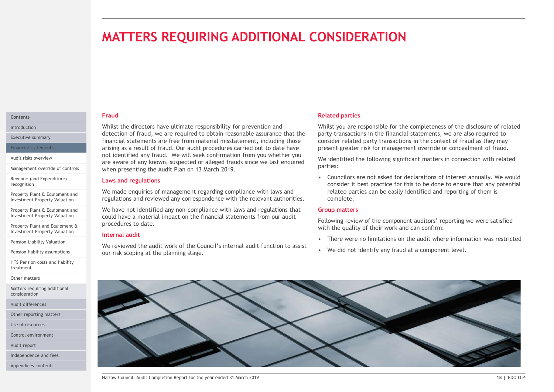# MATTERS REQUIRING ADDITIONAL CONSIDERATION

#### Fraud **Contents Contents Contents**

Whilst the directors have ultimate responsibility for prevention and Introduction detection of fraud, we are required to obtain reasonable assurance that the Executive summary<br>
Financial statements are free from material misstatement, including those consider related principles arising as a result of fraud. Our audit procedures carried out to date have Financial statements **MATTERS REQUIRING ADDITIONAL CONSIDERATI**<br>
Fraud<br>
Whilst the directors have ultimate responsibility for prevention and<br>
detection of fraud, we are required to obtain reasonable assurance that the<br>
frinancial statements ar Audit risks overview<br>are aware of any known, suspected or alleged frauds since we last enquired we identified the f when presenting the Audit Plan on 13 March 2019. Management override of controls

#### Laws and regulations

We made enquiries of management regarding compliance with laws and Investment Property Valuation **and regulations and reviewed any correspondence with the relevant authorities.** Complete.

We have not identified any non-compliance with laws and regulations that Investment Property Valuation **could have a material impact on the financial statements from our audit Lating Tallowing Towin** procedures to date.

#### Internal audit

We reviewed the audit work of the Council's internal audit function to assist<br>We did not identify any fraud at a component level. our risk scoping at the planning stage. Pension liability assumptions

#### Related parties

Whilst you are responsible for the completeness of the disclosure of related party transactions in the financial statements, we are also required to consider related party transactions in the context of fraud as they may present greater risk for management override or concealment of fraud.

We identified the following significant matters in connection with related parties:

**COUNCIFRATION**<br> **Example 18 Analytical partitis**<br> **Solution** are responsible for the completeness of the disclosure of related<br>
party transactions in the financial statements, we are also required to<br>
consider related par consider it best practice for this to be done to ensure that any potential related parties can be easily identified and reporting of them is complete. **Related parties**<br> **Related partics**<br> **Whilst** you are responsible for the completeness of the disclosure of related party transactions in the financial statements, we are also required to<br>
party related party transactions

#### Group matters

Following review of the component auditors' reporting we were satisfied with the quality of their work and can confirm:

- 
- 

Revenue (and Expenditure) recognition

Property Plant & Equipment and<br>Investment Property Valuation

Property Plant & Equipment and

Property Plant and Equipment & Investment Property Valuation

Pension Liability Valuation

HTS Pension costs and liability treatment

Other matters

Matters requiring additional consideration

Audit differences

Other reporting matters

Use of resources

Control environment

Audit report

Independence and fees

Appendices contents

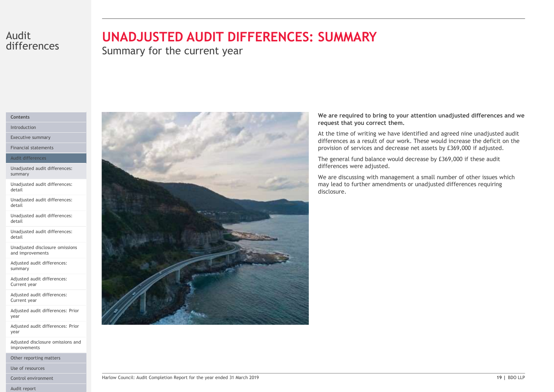# differences

# Audit **UNADJUSTED AUDIT DIFFERENCES: SUMMARY**

Summary for the current year

#### Contents

Introduction

Executive summary

Financial statements

#### Audit differences

Unadjusted audit differences: summary

Unadjusted audit differences: detail

Unadjusted audit differences: detail

Unadjusted audit differences: detail

Unadjusted audit differences: detail

Unadjusted disclosure omissions and improvements

Adjusted audit differences: summary

Adjusted audit differences: Current year

Adjusted audit differences: Current year

Adjusted audit differences: Prior year

Adjusted audit differences: Prior year

Adjusted disclosure omissions and improvements

Other reporting matters

Use of resources

Control environment Harlow Council: Audit Completion Report for the year ended 31 March 2019

Audit report



We are required to bring to your attention unadjusted differences and we request that you correct them.

At the time of writing we have identified and agreed nine unadjusted audit differences as a result of our work. These would increase the deficit on the provision of services and decrease net assets by £369,000 if adjusted.

The general fund balance would decrease by £369,000 if these audit differences were adjusted.

We are discussing with management a small number of other issues which may lead to further amendments or unadjusted differences requiring disclosure.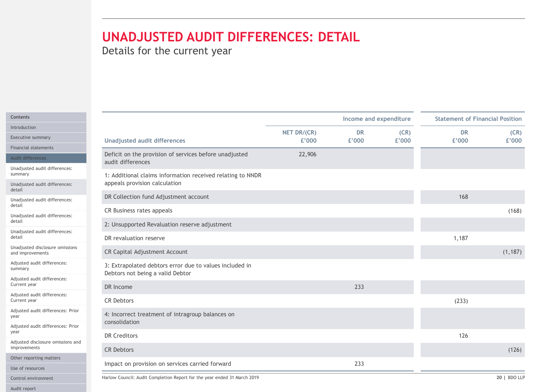| Details for the current year<br>Income and expenditure<br><b>Statement of Financial Position</b><br>(CR)<br>NET DR/(CR)<br><b>DR</b><br><b>DR</b><br><b>Executive summary</b><br>£'000<br><b>Unadjusted audit differences</b><br>£'000<br>£'000<br>£'000<br>Financial statements<br>Deficit on the provision of services before unadjusted<br>22,906<br>Audit differences<br>audit differences<br>Unadjusted audit differences:<br>1: Additional claims information received relating to NNDR<br>appeals provision calculation<br>Unadjusted audit differences:<br>DR Collection fund Adjustment account<br>168<br>Unadjusted audit differences:<br>CR Business rates appeals<br>Unadjusted audit differences:<br>2: Unsupported Revaluation reserve adjustment<br>Unadjusted audit differences:<br>1,187<br>DR revaluation reserve<br>Unadjusted disclosure omissions<br>CR Capital Adjustment Account<br>and improvements<br>Adjusted audit differences:<br>3: Extrapolated debtors error due to values included in<br>Debtors not being a valid Debtor<br>Adjusted audit differences:<br>233<br>DR Income<br>Adjusted audit differences:<br>CR Debtors<br>(233)<br>Adjusted audit differences: Prior |          |
|---------------------------------------------------------------------------------------------------------------------------------------------------------------------------------------------------------------------------------------------------------------------------------------------------------------------------------------------------------------------------------------------------------------------------------------------------------------------------------------------------------------------------------------------------------------------------------------------------------------------------------------------------------------------------------------------------------------------------------------------------------------------------------------------------------------------------------------------------------------------------------------------------------------------------------------------------------------------------------------------------------------------------------------------------------------------------------------------------------------------------------------------------------------------------------------------------------|----------|
|                                                                                                                                                                                                                                                                                                                                                                                                                                                                                                                                                                                                                                                                                                                                                                                                                                                                                                                                                                                                                                                                                                                                                                                                         |          |
|                                                                                                                                                                                                                                                                                                                                                                                                                                                                                                                                                                                                                                                                                                                                                                                                                                                                                                                                                                                                                                                                                                                                                                                                         |          |
|                                                                                                                                                                                                                                                                                                                                                                                                                                                                                                                                                                                                                                                                                                                                                                                                                                                                                                                                                                                                                                                                                                                                                                                                         |          |
|                                                                                                                                                                                                                                                                                                                                                                                                                                                                                                                                                                                                                                                                                                                                                                                                                                                                                                                                                                                                                                                                                                                                                                                                         | (CR)     |
|                                                                                                                                                                                                                                                                                                                                                                                                                                                                                                                                                                                                                                                                                                                                                                                                                                                                                                                                                                                                                                                                                                                                                                                                         | £'000    |
|                                                                                                                                                                                                                                                                                                                                                                                                                                                                                                                                                                                                                                                                                                                                                                                                                                                                                                                                                                                                                                                                                                                                                                                                         |          |
|                                                                                                                                                                                                                                                                                                                                                                                                                                                                                                                                                                                                                                                                                                                                                                                                                                                                                                                                                                                                                                                                                                                                                                                                         |          |
|                                                                                                                                                                                                                                                                                                                                                                                                                                                                                                                                                                                                                                                                                                                                                                                                                                                                                                                                                                                                                                                                                                                                                                                                         |          |
|                                                                                                                                                                                                                                                                                                                                                                                                                                                                                                                                                                                                                                                                                                                                                                                                                                                                                                                                                                                                                                                                                                                                                                                                         |          |
|                                                                                                                                                                                                                                                                                                                                                                                                                                                                                                                                                                                                                                                                                                                                                                                                                                                                                                                                                                                                                                                                                                                                                                                                         | (168)    |
|                                                                                                                                                                                                                                                                                                                                                                                                                                                                                                                                                                                                                                                                                                                                                                                                                                                                                                                                                                                                                                                                                                                                                                                                         |          |
|                                                                                                                                                                                                                                                                                                                                                                                                                                                                                                                                                                                                                                                                                                                                                                                                                                                                                                                                                                                                                                                                                                                                                                                                         |          |
|                                                                                                                                                                                                                                                                                                                                                                                                                                                                                                                                                                                                                                                                                                                                                                                                                                                                                                                                                                                                                                                                                                                                                                                                         | (1, 187) |
|                                                                                                                                                                                                                                                                                                                                                                                                                                                                                                                                                                                                                                                                                                                                                                                                                                                                                                                                                                                                                                                                                                                                                                                                         |          |
|                                                                                                                                                                                                                                                                                                                                                                                                                                                                                                                                                                                                                                                                                                                                                                                                                                                                                                                                                                                                                                                                                                                                                                                                         |          |
|                                                                                                                                                                                                                                                                                                                                                                                                                                                                                                                                                                                                                                                                                                                                                                                                                                                                                                                                                                                                                                                                                                                                                                                                         |          |
| 4: Incorrect treatment of intragroup balances on<br>consolidation                                                                                                                                                                                                                                                                                                                                                                                                                                                                                                                                                                                                                                                                                                                                                                                                                                                                                                                                                                                                                                                                                                                                       |          |
| Adjusted audit differences: Prior<br>DR Creditors<br>126                                                                                                                                                                                                                                                                                                                                                                                                                                                                                                                                                                                                                                                                                                                                                                                                                                                                                                                                                                                                                                                                                                                                                |          |
| Adjusted disclosure omissions and<br><b>CR Debtors</b>                                                                                                                                                                                                                                                                                                                                                                                                                                                                                                                                                                                                                                                                                                                                                                                                                                                                                                                                                                                                                                                                                                                                                  | (126)    |
| Other reporting matters                                                                                                                                                                                                                                                                                                                                                                                                                                                                                                                                                                                                                                                                                                                                                                                                                                                                                                                                                                                                                                                                                                                                                                                 |          |
| 233<br>Impact on provision on services carried forward<br>Use of resources                                                                                                                                                                                                                                                                                                                                                                                                                                                                                                                                                                                                                                                                                                                                                                                                                                                                                                                                                                                                                                                                                                                              |          |
| Harlow Council: Audit Completion Report for the year ended 31 March 2019<br>20   BDO LLP<br>Control environment                                                                                                                                                                                                                                                                                                                                                                                                                                                                                                                                                                                                                                                                                                                                                                                                                                                                                                                                                                                                                                                                                         |          |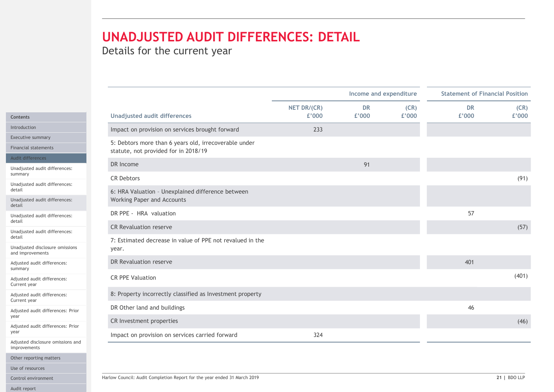| <b>UNADJUSTED AUDIT DIFFERENCES: DETAIL</b><br>Details for the current year                                                                       |             |                        |       |                                        |              |  |
|---------------------------------------------------------------------------------------------------------------------------------------------------|-------------|------------------------|-------|----------------------------------------|--------------|--|
|                                                                                                                                                   |             |                        |       |                                        |              |  |
|                                                                                                                                                   |             | Income and expenditure |       | <b>Statement of Financial Position</b> |              |  |
|                                                                                                                                                   | NET DR/(CR) | <b>DR</b>              | (CR)  | <b>DR</b>                              | (CR)         |  |
| <b>Unadjusted audit differences</b>                                                                                                               | £'000       | £'000                  | £'000 | £'000                                  | £'000        |  |
| Impact on provision on services brought forward                                                                                                   | 233         |                        |       |                                        |              |  |
| 5: Debtors more than 6 years old, irrecoverable under<br>statute, not provided for in 2018/19                                                     |             |                        |       |                                        |              |  |
| DR Income<br>Unadjusted audit differences:                                                                                                        |             | 91                     |       |                                        |              |  |
| <b>CR Debtors</b>                                                                                                                                 |             |                        |       |                                        | (91)         |  |
| Unadjusted audit differences:<br>6: HRA Valuation - Unexplained difference between<br>Working Paper and Accounts<br>Unadjusted audit differences: |             |                        |       |                                        |              |  |
| DR PPE - HRA valuation                                                                                                                            |             |                        |       | 57                                     |              |  |
| Unadjusted audit differences:                                                                                                                     |             |                        |       |                                        |              |  |
| <b>CR Revaluation reserve</b><br>Unadjusted audit differences:                                                                                    |             |                        |       |                                        | (57)         |  |
| 7: Estimated decrease in value of PPE not revalued in the<br>Unadjusted disclosure omissions<br>year.                                             |             |                        |       |                                        |              |  |
| DR Revaluation reserve                                                                                                                            |             |                        |       | 401                                    |              |  |
| CR PPE Valuation                                                                                                                                  |             |                        |       |                                        | (401)        |  |
| 8: Property incorrectly classified as Investment property                                                                                         |             |                        |       |                                        |              |  |
| DR Other land and buildings<br>Adjusted audit differences: Prior                                                                                  |             |                        |       | 46                                     |              |  |
| CR Investment properties                                                                                                                          |             |                        |       |                                        | (46)         |  |
| Adjusted audit differences: Prior<br>Impact on provision on services carried forward                                                              | 324         |                        |       |                                        |              |  |
| Adjusted disclosure omissions and                                                                                                                 |             |                        |       |                                        |              |  |
|                                                                                                                                                   |             |                        |       |                                        |              |  |
|                                                                                                                                                   |             |                        |       |                                        |              |  |
|                                                                                                                                                   |             |                        |       |                                        | 21   BDO LLP |  |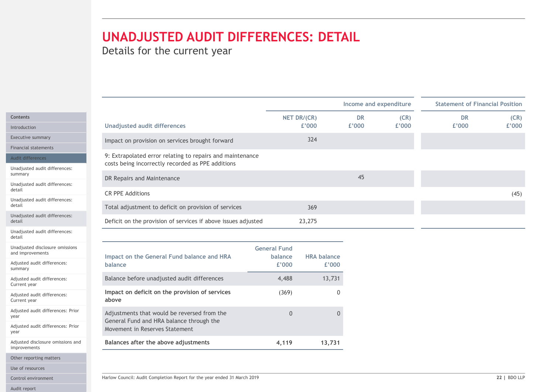|                                                     | <b>UNADJUSTED AUDIT DIFFERENCES: DETAIL</b><br>Details for the current year             |                     |                             |                        |       |                                        |       |
|-----------------------------------------------------|-----------------------------------------------------------------------------------------|---------------------|-----------------------------|------------------------|-------|----------------------------------------|-------|
|                                                     |                                                                                         |                     |                             |                        |       |                                        |       |
|                                                     |                                                                                         |                     |                             | Income and expenditure |       | <b>Statement of Financial Position</b> |       |
| Contents                                            |                                                                                         |                     | NET DR/(CR)                 | <b>DR</b>              | (CR)  | <b>DR</b>                              | (CR)  |
| Introduction                                        | <b>Unadjusted audit differences</b>                                                     |                     | £'000                       | £'000                  | £'000 | £'000                                  | £'000 |
| Executive summary                                   | Impact on provision on services brought forward                                         |                     | 324                         |                        |       |                                        |       |
| <b>Financial statements</b>                         | 9: Extrapolated error relating to repairs and maintenance                               |                     |                             |                        |       |                                        |       |
| Audit differences<br>Unadjusted audit differences:  | costs being incorrectly recorded as PPE additions                                       |                     |                             |                        |       |                                        |       |
| summary                                             | DR Repairs and Maintenance                                                              |                     |                             | 45                     |       |                                        |       |
| Unadjusted audit differences:                       |                                                                                         |                     |                             |                        |       |                                        |       |
| Unadjusted audit differences:                       | <b>CR PPE Additions</b>                                                                 |                     |                             |                        |       |                                        | (45)  |
| Unadjusted audit differences:                       | Total adjustment to deficit on provision of services                                    |                     | 369                         |                        |       |                                        |       |
|                                                     | Deficit on the provision of services if above issues adjusted                           |                     | 23,275                      |                        |       |                                        |       |
| Unadjusted audit differences:                       |                                                                                         |                     |                             |                        |       |                                        |       |
| Unadjusted disclosure omissions<br>and improvements |                                                                                         | <b>General Fund</b> |                             |                        |       |                                        |       |
| Adjusted audit differences:<br>summary              | Impact on the General Fund balance and HRA<br>balance                                   | balance<br>£'000    | <b>HRA balance</b><br>£'000 |                        |       |                                        |       |
| Adjusted audit differences:<br>Current year         | Balance before unadjusted audit differences                                             | 4,488               | 13,731                      |                        |       |                                        |       |
| Adjusted audit differences:<br>Current year         | Impact on deficit on the provision of services<br>above                                 | (369)               |                             | 0                      |       |                                        |       |
| Adjusted audit differences: Prior                   | Adjustments that would be reversed from the<br>General Fund and HRA balance through the | $\overline{0}$      |                             | $\overline{0}$         |       |                                        |       |
| Adjusted audit differences: Prior                   | Movement in Reserves Statement                                                          |                     |                             |                        |       |                                        |       |
| Adjusted disclosure omissions and<br>improvements   | Balances after the above adjustments                                                    | 4,119               | 13,731                      |                        |       |                                        |       |
| Other reporting matters                             |                                                                                         |                     |                             |                        |       |                                        |       |
|                                                     |                                                                                         |                     |                             |                        |       |                                        |       |

| Financial statements                                | mipact on provision on services prought forward                                                                |                                |                    |    |              |
|-----------------------------------------------------|----------------------------------------------------------------------------------------------------------------|--------------------------------|--------------------|----|--------------|
| Audit differences                                   | 9: Extrapolated error relating to repairs and maintenance<br>costs being incorrectly recorded as PPE additions |                                |                    |    |              |
| Unadjusted audit differences:<br>summary            | DR Repairs and Maintenance                                                                                     |                                |                    | 45 |              |
| Unadjusted audit differences:<br>detail             | <b>CR PPE Additions</b>                                                                                        |                                |                    |    |              |
| Unadjusted audit differences:<br>detail             | Total adjustment to deficit on provision of services                                                           |                                | 369                |    | (45)         |
| Unadjusted audit differences:<br>detail             | Deficit on the provision of services if above issues adjusted                                                  |                                | 23,275             |    |              |
| Unadjusted audit differences:<br>detail             |                                                                                                                |                                |                    |    |              |
| Unadjusted disclosure omissions<br>and improvements | Impact on the General Fund balance and HRA                                                                     | <b>General Fund</b><br>balance | <b>HRA balance</b> |    |              |
| Adjusted audit differences:<br>summary              | balance                                                                                                        | £'000                          | £'000              |    |              |
| Adjusted audit differences:<br>Current year         | Balance before unadjusted audit differences                                                                    | 4,488                          | 13,731             |    |              |
| Adjusted audit differences:<br>Current year         | Impact on deficit on the provision of services<br>above                                                        | (369)                          | $\overline{0}$     |    |              |
| Adjusted audit differences: Prior<br>year           | Adjustments that would be reversed from the                                                                    | $\overline{0}$                 | $\Omega$           |    |              |
| Adjusted audit differences: Prior<br>year           | General Fund and HRA balance through the<br>Movement in Reserves Statement                                     |                                |                    |    |              |
| Adjusted disclosure omissions and<br>improvements   | Balances after the above adjustments                                                                           | 4,119                          | 13,731             |    |              |
| Other reporting matters                             |                                                                                                                |                                |                    |    |              |
| Use of resources                                    |                                                                                                                |                                |                    |    |              |
| Control environment                                 | Harlow Council: Audit Completion Report for the year ended 31 March 2019                                       |                                |                    |    | 22   BDO LLP |
| Audit report                                        |                                                                                                                |                                |                    |    |              |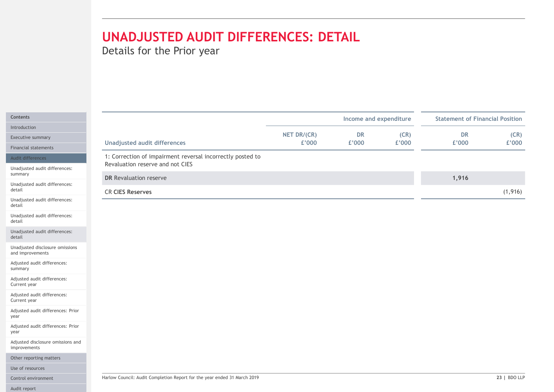| Details for the Prior year                                                                     |                      |                        |               |                                        |               |
|------------------------------------------------------------------------------------------------|----------------------|------------------------|---------------|----------------------------------------|---------------|
|                                                                                                |                      |                        |               |                                        |               |
|                                                                                                |                      | Income and expenditure |               | <b>Statement of Financial Position</b> |               |
| <b>Unadjusted audit differences</b>                                                            | NET DR/(CR)<br>£'000 | <b>DR</b><br>£'000     | (CR)<br>£'000 | <b>DR</b><br>£'000                     | (CR)<br>£'000 |
| 1: Correction of impairment reversal incorrectly posted to<br>Revaluation reserve and not CIES |                      |                        |               |                                        |               |
| <b>DR</b> Revaluation reserve                                                                  |                      |                        |               | 1,916                                  |               |
| <b>CR CIES Reserves</b>                                                                        |                      |                        |               |                                        | (1, 916)      |
|                                                                                                |                      |                        |               |                                        |               |
|                                                                                                |                      |                        |               |                                        |               |
|                                                                                                |                      |                        |               |                                        |               |
|                                                                                                |                      |                        |               |                                        |               |
|                                                                                                |                      |                        |               |                                        |               |
|                                                                                                |                      |                        |               |                                        |               |
|                                                                                                |                      |                        |               |                                        |               |
|                                                                                                |                      |                        |               |                                        |               |
|                                                                                                |                      |                        |               |                                        |               |
|                                                                                                |                      |                        |               |                                        |               |
|                                                                                                |                      |                        |               |                                        |               |
|                                                                                                |                      |                        |               |                                        |               |
| Harlow Council: Audit Completion Report for the year ended 31 March 2019                       |                      |                        |               |                                        | 23   BDO LLP  |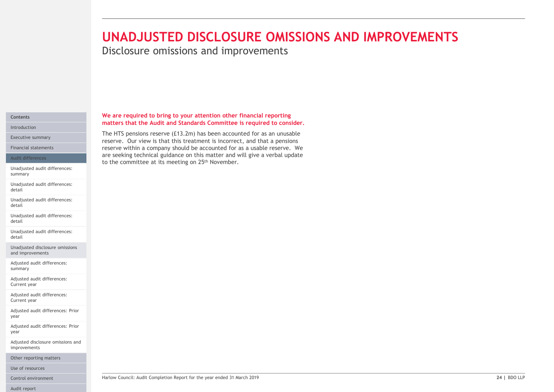# **UNADJUSTED DISCLOSURE OMISSIONS AND**<br>Disclosure omissions and improvements<br>we are required to bring to your attention other financial reporting<br>matters that the Audit and Standards Committee is required to consider.<br>The H UNADJUSTED DISCLOSURE OMISSIONS AND IMPROVEMENTS

Disclosure omissions and improvements

We are required to bring to your attention other financial reporting matters that the Audit and Standards Committee is required to consider. The HTS pensions reserve (£13.2m) has been accounted for as an unusable

are seeking technical guidance on this matter and will give a verbal update

to the committee at its meeting on 25th November.

#### Contents Introduction

Executive summary<br>reserve. Our view is that this treatment is incorrect, and that a pensions

Financial statements **the company should be accounted for as a usable reserve.** We **reading the company should be accounted for as a usable reserve.** We

#### Audit differences

Unadjusted audit differences: summary

Unadjusted audit differences: detail

Unadjusted audit differences: detail

Unadjusted audit differences: detail

Unadjusted audit differences: detail

Unadjusted disclosure omissions and improvements

Adjusted audit differences: summary

Adjusted audit differences: Current year

Adjusted audit differences: Current year

Adjusted audit differences: Prior year

Adjusted audit differences: Prior year

Adjusted disclosure omissions and improvements

Other reporting matters

Use of resources

Audit report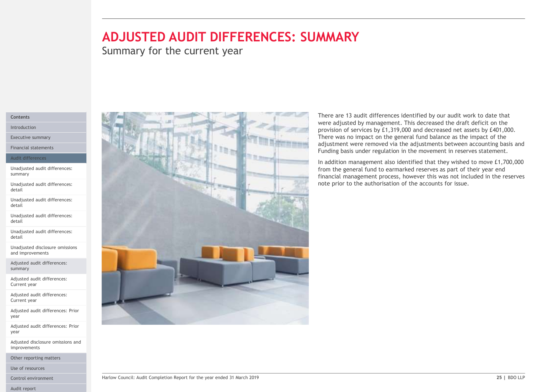# ADJUSTED AUDIT DIFFERENCES: SUMMARY

Summary for the current year

#### Contents

Introduction

Executive summary

Financial statements

#### Audit differences

Unadjusted audit differences: summary

Unadjusted audit differences: detail

Unadjusted audit differences: detail

Unadjusted audit differences: detail

Unadjusted audit differences: detail

Unadjusted disclosure omissions and improvements

Adjusted audit differences: summary

Adjusted audit differences: Current year

Adjusted audit differences: Current year

Adjusted audit differences: Prior year

Adjusted audit differences: Prior year

Adjusted disclosure omissions and improvements

Other reporting matters

Use of resources

Audit report



There are 13 audit differences identified by our audit work to date that were adjusted by management. This decreased the draft deficit on the **WAARY**<br>There are 13 audit differences identified by our audit work to date that<br>were adjusted by management. This decreased the draft deficit on the<br>provision of services by £1,319,000 and decreased net assets by £401,000 provision of services by £1,319,000 and decreased net assets by £401,000. There was no impact on the general fund balance as the impact of the adjustment were removed via the adjustments between accounting basis and Funding basis under regulation in the movement in reserves statement. **There are 13 audit differences identified by our audit work to date that were adjusted by mangement. This decreased the draft deficit on the provision of services by £1,319,000 and decreased net assets by £401,000. There** 

In addition management also identified that they wished to move £1,700,000 from the general fund to earmarked reserves as part of their year end financial management process, however this was not included in the reserves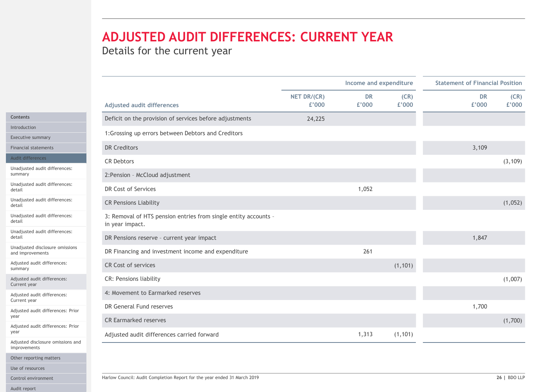# ADJUSTED AUDIT DIFFERENCES: CURRENT YEAR

| ADJUSTED AUDIT DIFFERENCES: CURRENT YEAR<br>Details for the current year                                            |                      |                        |               |                                        |
|---------------------------------------------------------------------------------------------------------------------|----------------------|------------------------|---------------|----------------------------------------|
|                                                                                                                     |                      |                        |               |                                        |
|                                                                                                                     |                      |                        |               |                                        |
|                                                                                                                     |                      |                        |               |                                        |
|                                                                                                                     |                      | Income and expenditure |               | <b>Statement of Financial Position</b> |
| <b>Adjusted audit differences</b>                                                                                   | NET DR/(CR)<br>£'000 | <b>DR</b><br>£'000     | (CR)<br>£'000 | (CR)<br><b>DR</b><br>£'000<br>£'000    |
| <b>Contents</b><br>Deficit on the provision of services before adjustments                                          | 24,225               |                        |               |                                        |
| Introduction<br>1: Grossing up errors between Debtors and Creditors                                                 |                      |                        |               |                                        |
| Executive summary<br><b>DR Creditors</b><br><b>Financial statements</b>                                             |                      |                        |               | 3,109                                  |
| Audit differences<br><b>CR Debtors</b>                                                                              |                      |                        |               | (3, 109)                               |
| Unadjusted audit differences:                                                                                       |                      |                        |               |                                        |
| 2: Pension - McCloud adjustment<br>summary<br>Unadjusted audit differences:                                         |                      |                        |               |                                        |
| DR Cost of Services<br>Unadjusted audit differences:                                                                |                      | 1,052                  |               |                                        |
| <b>CR Pensions Liability</b>                                                                                        |                      |                        |               | (1,052)                                |
| Unadjusted audit differences:<br>3: Removal of HTS pension entries from single entity accounts -<br>in year impact. |                      |                        |               |                                        |
| Unadjusted audit differences:<br>DR Pensions reserve - current year impact                                          |                      |                        |               | 1,847                                  |
| Unadjusted disclosure omissions<br>DR Financing and investment income and expenditure<br>and improvements           |                      | 261                    |               |                                        |
| Adjusted audit differences:<br>CR Cost of services<br>summary                                                       |                      |                        | (1, 101)      |                                        |
| CR: Pensions liability<br>Adjusted audit differences:<br>Current year                                               |                      |                        |               | (1,007)                                |
| 4: Movement to Earmarked reserves<br>Adjusted audit differences:                                                    |                      |                        |               |                                        |
| Current year<br>DR General Fund reserves<br>Adjusted audit differences: Prior                                       |                      |                        |               | 1,700                                  |
| <b>CR Earmarked reserves</b>                                                                                        |                      |                        |               | (1,700)                                |
| Adjusted audit differences: Prior<br>Adjusted audit differences carried forward                                     |                      | 1,313                  | (1, 101)      |                                        |
| Adjusted disclosure omissions and<br>improvements                                                                   |                      |                        |               |                                        |
| Other reporting matters                                                                                             |                      |                        |               |                                        |
| Use of resources                                                                                                    |                      |                        |               |                                        |
| Harlow Council: Audit Completion Report for the year ended 31 March 2019                                            |                      |                        |               | 26   BDO LLP                           |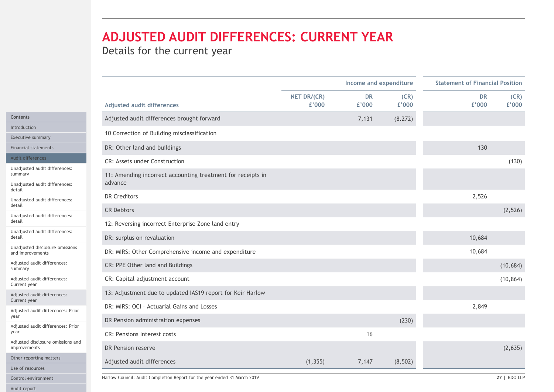# ADJUSTED AUDIT DIFFERENCES: CURRENT YEAR

|                                                                        |             |                                     | <b>Statement of Financial Position</b> |           |           |
|------------------------------------------------------------------------|-------------|-------------------------------------|----------------------------------------|-----------|-----------|
|                                                                        | NET DR/(CR) | Income and expenditure<br><b>DR</b> | (CR)                                   | <b>DR</b> | (CR)      |
| Adjusted audit differences                                             | £'000       | £'000                               | £'000                                  | £'000     | £'000     |
| Adjusted audit differences brought forward                             |             | 7,131                               | (8.272)                                |           |           |
| 10 Correction of Building misclassification                            |             |                                     |                                        |           |           |
| DR: Other land and buildings                                           |             |                                     |                                        | 130       |           |
| CR: Assets under Construction                                          |             |                                     |                                        |           | (130)     |
| 11: Amending incorrect accounting treatment for receipts in<br>advance |             |                                     |                                        |           |           |
| <b>DR Creditors</b>                                                    |             |                                     |                                        | 2,526     |           |
| <b>CR Debtors</b>                                                      |             |                                     |                                        |           | (2, 526)  |
| 12: Reversing incorrect Enterprise Zone land entry                     |             |                                     |                                        |           |           |
| DR: surplus on revaluation                                             |             |                                     |                                        | 10,684    |           |
| DR: MIRS: Other Comprehensive income and expenditure                   |             |                                     |                                        | 10,684    |           |
| CR: PPE Other land and Buildings                                       |             |                                     |                                        |           | (10, 684) |
| CR: Capital adjustment account                                         |             |                                     |                                        |           | (10, 864) |
| 13: Adjustment due to updated IAS19 report for Keir Harlow             |             |                                     |                                        |           |           |
| DR: MIRS: OCI - Actuarial Gains and Losses                             |             |                                     |                                        | 2,849     |           |
| DR Pension administration expenses                                     |             |                                     | (230)                                  |           |           |
| CR: Pensions Interest costs                                            |             | 16                                  |                                        |           |           |
| DR Pension reserve                                                     |             |                                     |                                        |           | (2,635)   |
| Adjusted audit differences                                             | (1, 355)    | 7,147                               | (8, 502)                               |           |           |

Introduction

Contents

Executive summary

Financial statement

#### Audit differences

Unadjusted audit dif summary

Unadjusted audit dif detail

Unadjusted audit dif detail

Unadjusted audit dif detail

Unadjusted audit dif detail

Unadjusted disclosur and improvements

Adjusted audit differ summary

Adjusted audit differ Current year

Adjusted audit diffe Current year

Adjusted audit differ year

Adjusted audit differ year

Adjusted disclosure improvements

Other reporting mat

Use of resources

Control environment Farlow Council: Audit Completion Report for the year ended 31 March 2019

Audit report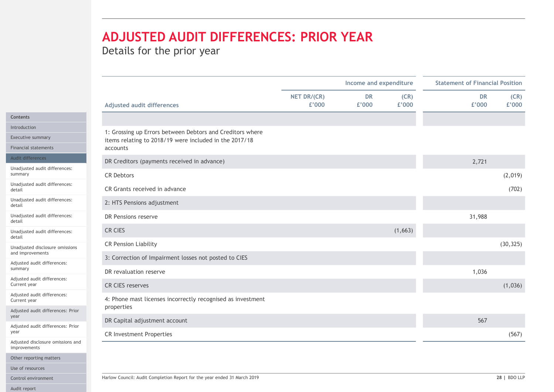# ADJUSTED AUDIT DIFFERENCES: PRIOR YEAR

|                                                 |                                                                                                                     |                      | Income and expenditure |               | <b>Statement of Financial Position</b> |  |
|-------------------------------------------------|---------------------------------------------------------------------------------------------------------------------|----------------------|------------------------|---------------|----------------------------------------|--|
|                                                 | <b>Adjusted audit differences</b>                                                                                   | NET DR/(CR)<br>£'000 | <b>DR</b><br>£'000     | (CR)<br>£'000 | <b>DR</b><br>(CR)<br>£'000<br>£'000    |  |
|                                                 |                                                                                                                     |                      |                        |               |                                        |  |
| Introduction                                    |                                                                                                                     |                      |                        |               |                                        |  |
| Executive summary                               | 1: Grossing up Errors between Debtors and Creditors where<br>items relating to 2018/19 were included in the 2017/18 |                      |                        |               |                                        |  |
| Financial statements                            | accounts                                                                                                            |                      |                        |               |                                        |  |
| Audit differences                               | DR Creditors (payments received in advance)                                                                         |                      |                        |               | 2,721                                  |  |
| Unadjusted audit differences:<br>summary        | <b>CR Debtors</b>                                                                                                   |                      |                        |               | (2,019)                                |  |
| Unadjusted audit differences:                   | CR Grants received in advance                                                                                       |                      |                        |               | (702)                                  |  |
| Unadjusted audit differences:                   | 2: HTS Pensions adjustment                                                                                          |                      |                        |               |                                        |  |
| Unadjusted audit differences:                   | DR Pensions reserve                                                                                                 |                      |                        |               | 31,988                                 |  |
| Unadjusted audit differences:                   | CR CIES                                                                                                             |                      |                        | (1,663)       |                                        |  |
| Unadjusted disclosure omissions                 | <b>CR Pension Liability</b>                                                                                         |                      |                        |               | (30, 325)                              |  |
| and improvements<br>Adjusted audit differences: | 3: Correction of Impairment losses not posted to CIES                                                               |                      |                        |               |                                        |  |
| summary                                         | DR revaluation reserve                                                                                              |                      |                        |               | 1,036                                  |  |
| Adjusted audit differences:<br>Current year     | <b>CR CIES reserves</b>                                                                                             |                      |                        |               | (1,036)                                |  |
| Adjusted audit differences:<br>Current year     | 4: Phone mast licenses incorrectly recognised as investment<br>properties                                           |                      |                        |               |                                        |  |
| Adjusted audit differences: Prior               |                                                                                                                     |                      |                        |               |                                        |  |
| Adjusted audit differences: Prior               | DR Capital adjustment account                                                                                       |                      |                        |               | 567                                    |  |
| Adjusted disclosure omissions and               | CR Investment Properties                                                                                            |                      |                        |               | (567)                                  |  |
| improvements<br>Other reporting matters         |                                                                                                                     |                      |                        |               |                                        |  |
| Use of resources                                |                                                                                                                     |                      |                        |               |                                        |  |
| Control environment                             | Harlow Council: Audit Completion Report for the year ended 31 March 2019                                            |                      |                        |               | 28   BDO LLP                           |  |
|                                                 |                                                                                                                     |                      |                        |               |                                        |  |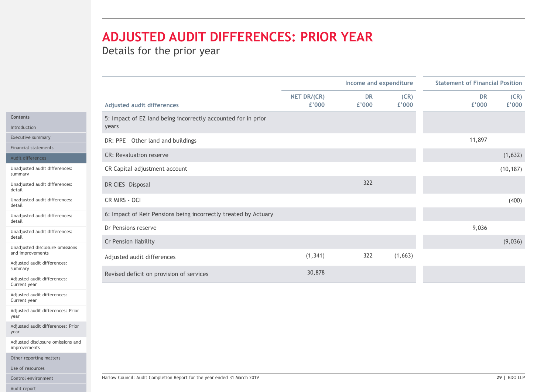# ADJUSTED AUDIT DIFFERENCES: PRIOR YEAR

|                                                                        | Income and expenditure |                    |               | <b>Statement of Financial Position</b> |               |  |
|------------------------------------------------------------------------|------------------------|--------------------|---------------|----------------------------------------|---------------|--|
| Adjusted audit differences                                             | NET DR/(CR)<br>£'000   | <b>DR</b><br>£'000 | (CR)<br>£'000 | <b>DR</b><br>£'000                     | (CR)<br>£'000 |  |
| 5: Impact of EZ land being incorrectly accounted for in prior<br>years |                        |                    |               |                                        |               |  |
| DR: PPE - Other land and buildings                                     |                        |                    |               | 11,897                                 |               |  |
| <b>CR: Revaluation reserve</b>                                         |                        |                    |               |                                        | (1,632)       |  |
| CR Capital adjustment account                                          |                        |                    |               |                                        | (10, 187)     |  |
| DR CIES - Disposal                                                     |                        | 322                |               |                                        |               |  |
| CR MIRS - OCI                                                          |                        |                    |               |                                        | (400)         |  |
| 6: Impact of Keir Pensions being incorrectly treated by Actuary        |                        |                    |               |                                        |               |  |
| Dr Pensions reserve                                                    |                        |                    |               | 9,036                                  |               |  |
| Cr Pension liability                                                   |                        |                    |               |                                        | (9,036)       |  |
| Adjusted audit differences                                             | (1, 341)               | 322                | (1,663)       |                                        |               |  |
| Revised deficit on provision of services                               | 30,878                 |                    |               |                                        |               |  |

Contents

Introduction

Executive summary

Financial statements

Audit differences

Unadjusted audit differences: summary

Unadjusted audit differences: detail

Unadjusted audit differences: detail

Unadjusted audit differences: detail

Unadjusted audit differences: detail

Unadjusted disclosure omissio and improvements

Adjusted audit differences: summary

Adjusted audit differences: Current year

Adjusted audit differences: Current year

Adjusted audit differences: Prior year

Adjusted audit differences: Prior year

Adjusted disclosure omissions and improvements

Other reporting matters

Use of resources

Audit report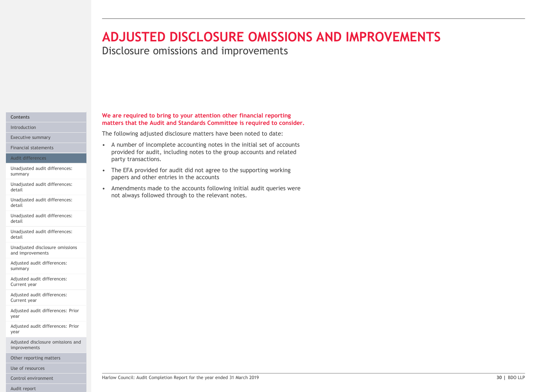# **ADJUSTED DISCLOSURE OMISSIONS AND IMP**<br>Disclosure omissions and improvements<br>we are required to bring to your attention other financial reporting<br>matters that the Audit and Standards Committee is required to consider.<br>The **ADJUSTED DISCLOSURE OMISSIONS AND IM**<br>
Disclosure omissions and improvements<br>
We are required to bring to your attention other financial reporting<br>
matters that the Audit and Standards Committee is required to consider.<br> **ADJUSTED DISCLOSURE OMISSIONS AND IMP**<br>Disclosure omissions and improvements<br>we are required to bring to your attention other financial reporting<br>matters that the Audit and Standards Committee is required to consider.<br>The ADJUSTED DISCLOSURE OMISSIONS AND IMPROVEMENTS

Disclosure omissions and improvements

We are required to bring to your attention other financial reporting matters that the Audit and Standards Committee is required to consider.

provided for audit, including notes to the group accounts and related

The following adjusted disclosure matters have been noted to date:

party transactions.

papers and other entries in the accounts

not always followed through to the relevant notes.

#### Contents Introduction

Executive summary

Financial statements **Exercise 2018** • A number of incomplete accounting notes in the initial set of accounts

#### Audit differences

Unadjusted audit differences: • • The EFA provided for audit did not agree to the supporting working summary

Unadjusted audit differences:<br> **EXECUTE:** Amendments made to the accounts following initial audit queries were detail

Unadjusted audit differences: detail

Unadjusted audit differences: detail

Unadjusted audit differences: detail

Unadjusted disclosure omissions and improvements

Adjusted audit differences: summary

Adjusted audit differences: Current year

Adjusted audit differences: Current year

Adjusted audit differences: Prior year

Adjusted audit differences: Prior year

Adjusted disclosure omissions and improvements

Other reporting matters

Use of resources

Audit report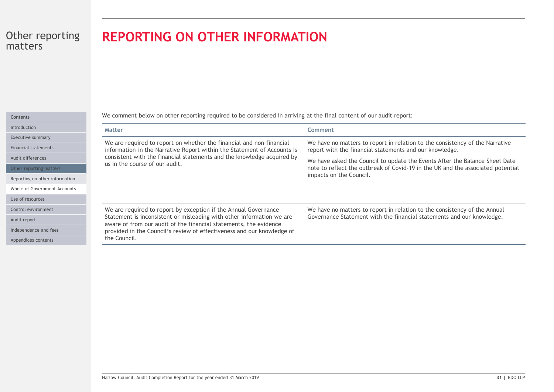# REPORTING ON OTHER INFORMATION

| ۰. |  |  |  |
|----|--|--|--|
|    |  |  |  |

Introductio

Executive

Financial s

Audit diffe

Other rep

Reporting

Whole of G

Use of reso

Control en

Audit repor

Independen

Appendices

| <b>REPORTING ON OTHER INFORMATION</b>                                                                                                                       |                                                                                                                                                                                           |
|-------------------------------------------------------------------------------------------------------------------------------------------------------------|-------------------------------------------------------------------------------------------------------------------------------------------------------------------------------------------|
| We comment below on other reporting required to be considered in arriving at the final content of our audit report:                                         |                                                                                                                                                                                           |
| <b>Matter</b>                                                                                                                                               | Comment                                                                                                                                                                                   |
| We are required to report on whether the financial and non-financial<br>information in the Narrative Report within the Statement of Accounts is             | We have no matters to report in relation to the consistency of the Narrative<br>report with the financial statements and our knowledge.                                                   |
| consistent with the financial statements and the knowledge acquired by<br>us in the course of our audit.                                                    | We have asked the Council to update the Events After the Balance Sheet Date<br>note to reflect the outbreak of Covid-19 in the UK and the associated potential<br>impacts on the Council. |
| We are required to report by exception if the Annual Governance<br>Statement is inconsistent or misleading with other information we are                    | We have no matters to report in relation to the consistency of the Annual<br>Governance Statement with the financial statements and our knowledge.                                        |
| aware of from our audit of the financial statements, the evidence<br>provided in the Council's review of effectiveness and our knowledge of<br>the Council. |                                                                                                                                                                                           |
|                                                                                                                                                             |                                                                                                                                                                                           |
| Harlow Council: Audit Completion Report for the year ended 31 March 2019                                                                                    | 31   BDO LLP                                                                                                                                                                              |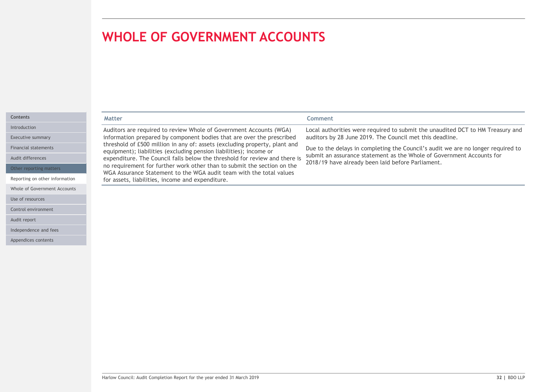Use of resources Control environment

Audit report

Independence and fees Appendices contents

|                                | <b>WHOLE OF GOVERNMENT ACCOUNTS</b>                                                                                                              |                                                                                                                                                           |
|--------------------------------|--------------------------------------------------------------------------------------------------------------------------------------------------|-----------------------------------------------------------------------------------------------------------------------------------------------------------|
|                                |                                                                                                                                                  |                                                                                                                                                           |
|                                |                                                                                                                                                  |                                                                                                                                                           |
|                                |                                                                                                                                                  |                                                                                                                                                           |
|                                |                                                                                                                                                  |                                                                                                                                                           |
|                                |                                                                                                                                                  |                                                                                                                                                           |
| <b>Contents</b>                | <b>Matter</b>                                                                                                                                    | Comment                                                                                                                                                   |
|                                | Auditors are required to review Whole of Government Accounts (WGA)                                                                               | Local authorities were required to submit the unaudited DCT to HM Treasury and                                                                            |
| Introduction                   |                                                                                                                                                  |                                                                                                                                                           |
| Executive summary              | information prepared by component bodies that are over the prescribed                                                                            | auditors by 28 June 2019. The Council met this deadline.                                                                                                  |
| <b>Financial statements</b>    | threshold of £500 million in any of: assets (excluding property, plant and                                                                       |                                                                                                                                                           |
| Audit differences              | equipment); liabilities (excluding pension liabilities); income or<br>expenditure. The Council falls below the threshold for review and there is | Due to the delays in completing the Council's audit we are no longer required to<br>submit an assurance statement as the Whole of Government Accounts for |
| Other reporting matters        | no requirement for further work other than to submit the section on the                                                                          | 2018/19 have already been laid before Parliament.                                                                                                         |
| Reporting on other information | WGA Assurance Statement to the WGA audit team with the total values<br>for assets, liabilities, income and expenditure.                          |                                                                                                                                                           |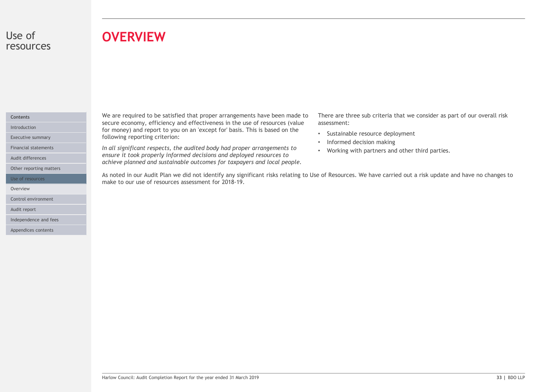### Use of resources

# **OVERVIEW**

#### Contents

Audit differences

Other reporting matters

Overview **of the contract of the contract of the contract of the contract of the contract of the contract of the contract of the contract of the contract of the contract of the contract of the contract of the contract of t** 

Control environment

Audit report

Independence and fees

Appendices contents

We are required to be satisfied that proper arrangements have been made to secure economy, efficiency and effectiveness in the use of resources (value Introduction **Except for money)** and report to you on an 'except for' basis. This is based on the **Interior and the** Executive summary **Executive summary Executive summary Executive summary EXECUTE:** 

Financial statements **Exercicians Convertsery of the audited body had proper arrangements to Morking with** ensure it took properly informed decisions and deployed resources to achieve planned and sustainable outcomes for taxpayers and local people.

There are three sub criteria that we consider as part of our overall risk assessment:

- Sustainable resource deployment
- Informed decision making
- Working with partners and other third parties.

As note of the satisfied that proper arrangements have been made to There are three sub criteria that we consider as part of our overall risks for money) and report to you on an 'except for basis. This is based on the cons make to our use of resources assessment for 2018-19. Use of resources **Starting to the Section 2006** As noted in our Audit Plan we did not identify any significant risks relating to Use of Resources. We have carried out a risk update and have no changes to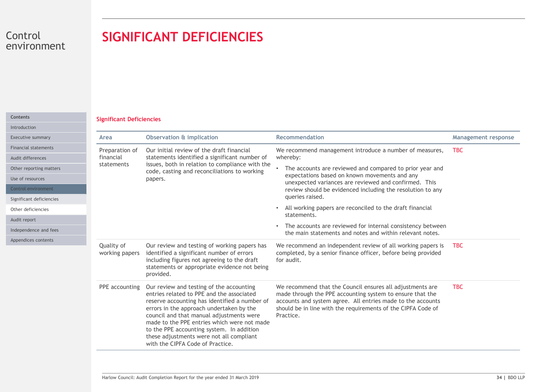# SIGNIFICANT DEFICIENCIES

#### Significant Deficiencies Contents

| Control<br>environment                                             |                                 | <b>SIGNIFICANT DEFICIENCIES</b>                                                                                                                                                                                                                                                                                                                                                                            |                                                                                                                                                                                                                                                                    |                            |
|--------------------------------------------------------------------|---------------------------------|------------------------------------------------------------------------------------------------------------------------------------------------------------------------------------------------------------------------------------------------------------------------------------------------------------------------------------------------------------------------------------------------------------|--------------------------------------------------------------------------------------------------------------------------------------------------------------------------------------------------------------------------------------------------------------------|----------------------------|
| Contents<br>Introduction                                           | <b>Significant Deficiencies</b> |                                                                                                                                                                                                                                                                                                                                                                                                            |                                                                                                                                                                                                                                                                    |                            |
| Executive summary<br>Area                                          |                                 | <b>Observation &amp; implication</b>                                                                                                                                                                                                                                                                                                                                                                       | Recommendation                                                                                                                                                                                                                                                     | <b>Management response</b> |
| <b>Financial statements</b><br>Audit differences                   | Preparation of<br>financial     | Our initial review of the draft financial<br>statements identified a significant number of                                                                                                                                                                                                                                                                                                                 | We recommend management introduce a number of measures,<br>whereby:                                                                                                                                                                                                | <b>TBC</b>                 |
| Other reporting matters<br>Use of resources<br>Control environment | statements                      | issues, both in relation to compliance with the<br>code, casting and reconciliations to working<br>papers.                                                                                                                                                                                                                                                                                                 | • The accounts are reviewed and compared to prior year and<br>expectations based on known movements and any<br>unexpected variances are reviewed and confirmed. This<br>review should be evidenced including the resolution to any<br>queries raised.              |                            |
| Significant deficiencies<br>Other deficiencies                     |                                 |                                                                                                                                                                                                                                                                                                                                                                                                            | • All working papers are reconciled to the draft financial<br>statements.                                                                                                                                                                                          |                            |
| Audit report<br>Independence and fees                              |                                 |                                                                                                                                                                                                                                                                                                                                                                                                            | The accounts are reviewed for internal consistency between<br>$\bullet$<br>the main statements and notes and within relevant notes.                                                                                                                                |                            |
| Appendices contents                                                | Quality of<br>working papers    | Our review and testing of working papers has<br>identified a significant number of errors<br>including figures not agreeing to the draft<br>statements or appropriate evidence not being<br>provided.                                                                                                                                                                                                      | We recommend an independent review of all working papers is<br>completed, by a senior finance officer, before being provided<br>for audit.                                                                                                                         | <b>TBC</b>                 |
|                                                                    | PPE accounting                  | Our review and testing of the accounting<br>entries related to PPE and the associated<br>reserve accounting has identified a number of<br>errors in the approach undertaken by the<br>council and that manual adjustments were<br>made to the PPE entries which were not made<br>to the PPE accounting system. In addition<br>these adjustments were not all compliant<br>with the CIPFA Code of Practice. | We recommend that the Council ensures all adjustments are<br>made through the PPE accounting system to ensure that the<br>accounts and system agree. All entries made to the accounts<br>should be in line with the requirements of the CIPFA Code of<br>Practice. | <b>TBC</b>                 |
|                                                                    |                                 | Harlow Council: Audit Completion Report for the year ended 31 March 2019                                                                                                                                                                                                                                                                                                                                   |                                                                                                                                                                                                                                                                    | 34   BDO LLP               |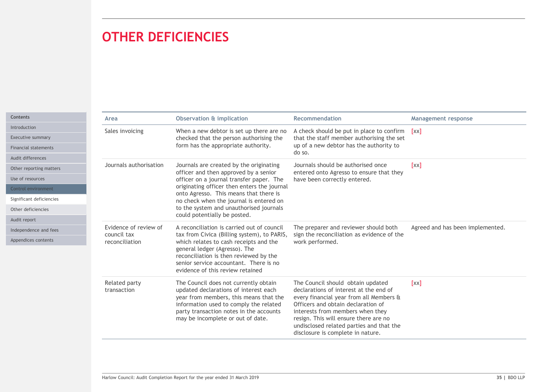# OTHER DEFICIENCIES

|                                                        | <b>OTHER DEFICIENCIES</b>                                                                                                                                                                                                                                                                                                                   |                                                                                                                                                                                                                                                                                                                            |                                  |
|--------------------------------------------------------|---------------------------------------------------------------------------------------------------------------------------------------------------------------------------------------------------------------------------------------------------------------------------------------------------------------------------------------------|----------------------------------------------------------------------------------------------------------------------------------------------------------------------------------------------------------------------------------------------------------------------------------------------------------------------------|----------------------------------|
| Area                                                   | <b>Observation &amp; implication</b>                                                                                                                                                                                                                                                                                                        | Recommendation                                                                                                                                                                                                                                                                                                             | <b>Management response</b>       |
| Sales invoicing                                        | When a new debtor is set up there are no<br>checked that the person authorising the<br>form has the appropriate authority.                                                                                                                                                                                                                  | A check should be put in place to confirm [xx]<br>that the staff member authorising the set<br>up of a new debtor has the authority to<br>do so.                                                                                                                                                                           |                                  |
| Journals authorisation                                 | Journals are created by the originating<br>officer and then approved by a senior<br>officer on a journal transfer paper. The<br>originating officer then enters the journal<br>onto Agresso. This means that there is<br>no check when the journal is entered on<br>to the system and unauthorised journals<br>could potentially be posted. | Journals should be authorised once<br>entered onto Agresso to ensure that they<br>have been correctly entered.                                                                                                                                                                                                             | [xx]                             |
| Evidence of review of<br>council tax<br>reconciliation | A reconciliation is carried out of council<br>tax from Civica (Billing system), to PARIS,<br>which relates to cash receipts and the<br>general ledger (Agresso). The<br>reconciliation is then reviewed by the<br>senior service accountant. There is no<br>evidence of this review retained                                                | The preparer and reviewer should both<br>sign the reconciliation as evidence of the<br>work performed.                                                                                                                                                                                                                     | Agreed and has been implemented. |
| Related party<br>transaction                           | The Council does not currently obtain<br>updated declarations of interest each<br>year from members, this means that the<br>information used to comply the related<br>party transaction notes in the accounts<br>may be incomplete or out of date.                                                                                          | The Council should obtain updated<br>declarations of interest at the end of<br>every financial year from all Members &<br>Officers and obtain declaration of<br>interests from members when they<br>resign. This will ensure there are no<br>undisclosed related parties and that the<br>disclosure is complete in nature. | [xx]                             |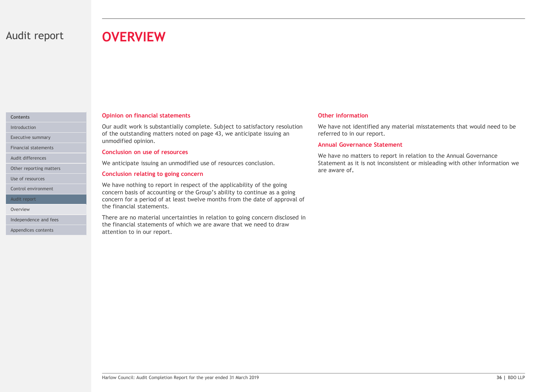# Audit report **OVERVIEW**

#### Contents

Financial statements

Other reporting matters

Use of resources

Control environment

Audit report

Independence and fees

Appendices contents

#### Opinion on financial statements

Our audit work is substantially complete. Subject to satisfactory resolution Introduction of the outstanding matters noted on page 43, we anticipate issuing an Executive summary **Executive summary unmodified opinion.** 

#### Conclusion on use of resources

Audit differences<br>We anticipate issuing an unmodified use of resources conclusion.

#### Conclusion relating to going concern

**OVERVIEW**<br>
Opinion on financial statements<br>
Our audit work is substantially complete. Subject to satisfactory resolution<br>
Our and of the outstanding matters noted on page 43, we anticipate issuing an<br>
unmodified opinion.<br> We have nothing to report in respect of the applicability of the going concern basis of accounting or the Group's ability to continue as a going concern for a period of at least twelve months from the date of approval of the financial statements. Overview **Overview Change Community Contract Statements:** 

the Imancal statements.<br>There are no material uncertainties in relation to going concern disclosed in<br>the financial statements of which we are aware that we need to draw<br>attention to in our report.<br>Harlow Council: Audit Co There are no material uncertainties in relation to going concern disclosed in the financial statements of which we are aware that we need to draw attention to in our report.

#### Other information

We have not identified any material misstatements that would need to be referred to in our report.

#### Annual Governance Statement

We have no matters to report in relation to the Annual Governance Statement as it is not inconsistent or misleading with other information we are aware of.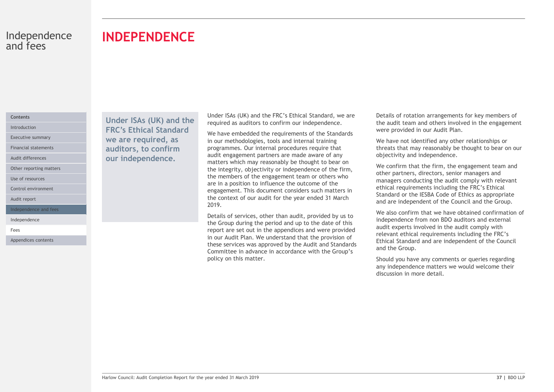# INDEPENDENCE

#### Contents

Audit differences

Other reporting matters

Use of resources

Control environment

Audit report

Independence and fees

Independence

Fees **Fees Fees** 

Appendices contents

Under ISAs (UK) and the Introduction **FRC's Ethical Standard** We have embedded Executive summary **Executive summary We are required, as** in our method Financial statements **auditors, to confirm** programmes. our independence.

Under ISAs (UK) and the FRC's Ethical Standard, we are required as auditors to confirm our independence.

We have embedded the requirements of the Standards in our methodologies, tools and internal training programmes. Our internal procedures require that audit engagement partners are made aware of any matters which may reasonably be thought to bear on the integrity, objectivity or independence of the firm, the members of the engagement team or others who are in a position to influence the outcome of the engagement. This document considers such matters in the context of our audit for the year ended 31 March 2019.

Exais of services, other than audit, provided by us to<br>
the Group during the period and up to the date of this<br>
the Group during the period of the Group during the period and up to the date of this<br>
report are set out in t Details of services, other than audit, provided by us to the Group during the period and up to the date of this report are set out in the appendices and were provided in our Audit Plan. We understand that the provision of these services was approved by the Audit and Standards Committee in advance in accordance with the Group's policy on this matter.

Details of rotation arrangements for key members of the audit team and others involved in the engagement were provided in our Audit Plan.

We have not identified any other relationships or threats that may reasonably be thought to bear on our objectivity and independence.

We confirm that the firm, the engagement team and other partners, directors, senior managers and managers conducting the audit comply with relevant ethical requirements including the FRC's Ethical Standard or the IESBA Code of Ethics as appropriate and are independent of the Council and the Group.

We also confirm that we have obtained confirmation of independence from non BDO auditors and external audit experts involved in the audit comply with relevant ethical requirements including the FRC's Ethical Standard and are independent of the Council and the Group.

Should you have any comments or queries regarding any independence matters we would welcome their discussion in more detail.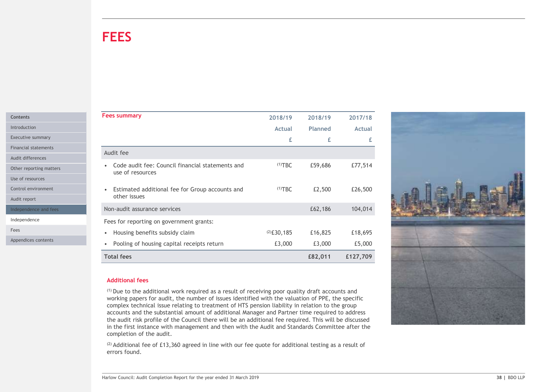# **FEES**

| Contents     |  |
|--------------|--|
| Introduction |  |

Audit report

| <b>FEES</b>                                                                  |               |                |               |  |
|------------------------------------------------------------------------------|---------------|----------------|---------------|--|
|                                                                              |               |                |               |  |
|                                                                              |               |                |               |  |
|                                                                              |               |                |               |  |
|                                                                              |               |                |               |  |
|                                                                              |               |                |               |  |
|                                                                              |               |                |               |  |
| <b>Fees summary</b>                                                          | 2018/19       | 2018/19        | 2017/18       |  |
|                                                                              | Actual        | <b>Planned</b> | <b>Actual</b> |  |
|                                                                              | £             | £              | £             |  |
| Audit fee                                                                    |               |                |               |  |
| Code audit fee: Council financial statements and                             | $(1)$ TBC     | £59,686        | £77,514       |  |
| use of resources                                                             |               |                |               |  |
|                                                                              |               |                |               |  |
| Estimated additional fee for Group accounts and<br>$\bullet$<br>other issues | $(1)$ TBC     | £2,500         | £26,500       |  |
|                                                                              |               |                |               |  |
| Non-audit assurance services                                                 |               | £62,186        | 104,014       |  |
| Fees for reporting on government grants:                                     |               |                |               |  |
|                                                                              | $(2)$ £30,185 | £16,825        | £18,695       |  |
| • Housing benefits subsidy claim                                             |               |                |               |  |
| • Pooling of housing capital receipts return                                 | £3,000        | £3,000         | £5,000        |  |

#### Additional fees

(1) Due to the additional work required as a result of receiving poor quality draft accounts and working papers for audit, the number of issues identified with the valuation of PPE, the specific complex technical issue relating to treatment of HTS pension liability in relation to the group accounts and the substantial amount of additional Manager and Partner time required to address the audit risk profile of the Council there will be an additional fee required. This will be discussed in the first instance with management and then with the Audit and Standards Committee after the completion of the audit.

 $(2)$  Additional fee of £13,360 agreed in line with our fee quote for additional testing as a result of errors found.

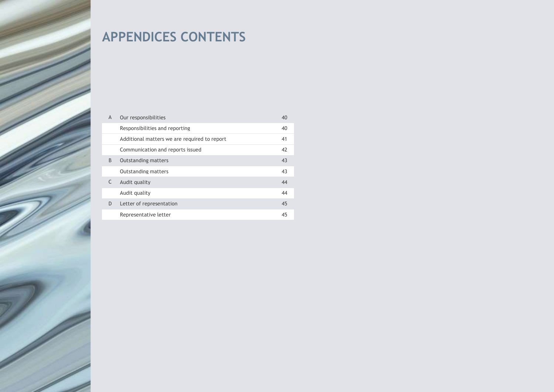# APPENDICES CONTENTS

| $\overline{A}$ | Our responsibilities                         | 40 |
|----------------|----------------------------------------------|----|
|                | Responsibilities and reporting               | 40 |
|                | Additional matters we are required to report | 41 |
|                | Communication and reports issued             | 42 |
| B              | <b>Outstanding matters</b>                   | 43 |
|                | <b>Outstanding matters</b>                   | 43 |
|                | Audit quality                                | 44 |
|                | Audit quality                                | 44 |
| D              | Letter of representation                     | 45 |
|                | Representative letter                        | 45 |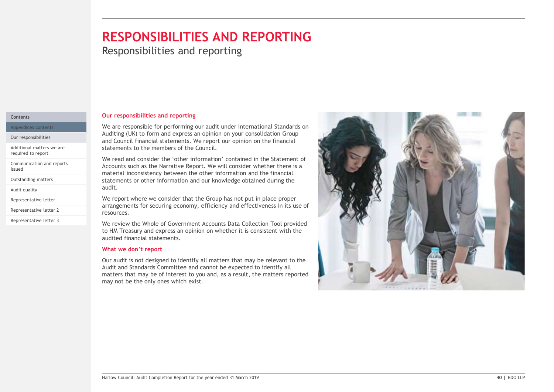# RESPONSIBILITIES AND REPORTING

**Responsibilities and reporting** 

#### Contents

Appendices contents

Our responsibilities

Additional matters we are required to report

Communication and reports<br>issued

Audit quality

Representative letter

Representative letter 2

Representative letter 3

#### Our responsibilities and reporting

We are responsible for performing our audit under International Standards on Auditing (UK) to form and express an opinion on your consolidation Group and Council financial statements. We report our opinion on the financial statements to the members of the Council.

We read and consider the 'other information' contained in the Statement of Accounts such as the Narrative Report. We will consider whether there is a material inconsistency between the other information and the financial inconsistency between the other information and the financial Outstanding matters **or a statements or other information and our knowledge obtained during the statements** audit.

> We report where we consider that the Group has not put in place proper arrangements for securing economy, efficiency and effectiveness in its use of resources.

> We review the Whole of Government Accounts Data Collection Tool provided to HM Treasury and express an opinion on whether it is consistent with the audited financial statements.

#### What we don't report

Our audit is not designed to identify all matters that may be relevant to the Audit and Standards Committee and cannot be expected to identify all matters that may be of interest to you and, as a result, the matters reported may not be the only ones which exist.

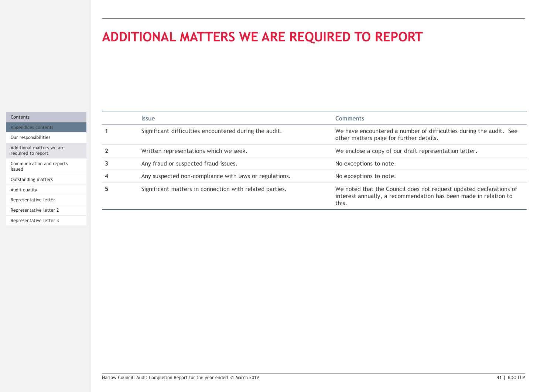# ADDITIONAL MATTERS WE ARE REQUIRED TO REPORT

| Contents |  |
|----------|--|
|          |  |

Our responsibilities

Communication and reports Outstanding matters

Audit quality

| ADDITIONAL MATTERS WE ARE REQUIRED TO REPORT<br><b>Comments</b><br><b>Issue</b><br>Significant difficulties encountered during the audit.<br>We have encountered a number of difficulties during the audit. See<br>-1<br>other matters page for further details.<br>Written representations which we seek.<br>We enclose a copy of our draft representation letter.<br>$\overline{2}$<br>Any fraud or suspected fraud issues.<br>No exceptions to note.<br>$\mathbf{3}$<br>Any suspected non-compliance with laws or regulations.<br>No exceptions to note.<br>4<br>5 <sub>5</sub><br>Significant matters in connection with related parties.<br>We noted that the Council does not request updated declarations of<br>interest annually, a recommendation has been made in relation to<br>this. |  |  |
|--------------------------------------------------------------------------------------------------------------------------------------------------------------------------------------------------------------------------------------------------------------------------------------------------------------------------------------------------------------------------------------------------------------------------------------------------------------------------------------------------------------------------------------------------------------------------------------------------------------------------------------------------------------------------------------------------------------------------------------------------------------------------------------------------|--|--|
|                                                                                                                                                                                                                                                                                                                                                                                                                                                                                                                                                                                                                                                                                                                                                                                                  |  |  |
|                                                                                                                                                                                                                                                                                                                                                                                                                                                                                                                                                                                                                                                                                                                                                                                                  |  |  |
|                                                                                                                                                                                                                                                                                                                                                                                                                                                                                                                                                                                                                                                                                                                                                                                                  |  |  |
|                                                                                                                                                                                                                                                                                                                                                                                                                                                                                                                                                                                                                                                                                                                                                                                                  |  |  |
|                                                                                                                                                                                                                                                                                                                                                                                                                                                                                                                                                                                                                                                                                                                                                                                                  |  |  |
|                                                                                                                                                                                                                                                                                                                                                                                                                                                                                                                                                                                                                                                                                                                                                                                                  |  |  |
|                                                                                                                                                                                                                                                                                                                                                                                                                                                                                                                                                                                                                                                                                                                                                                                                  |  |  |
|                                                                                                                                                                                                                                                                                                                                                                                                                                                                                                                                                                                                                                                                                                                                                                                                  |  |  |
|                                                                                                                                                                                                                                                                                                                                                                                                                                                                                                                                                                                                                                                                                                                                                                                                  |  |  |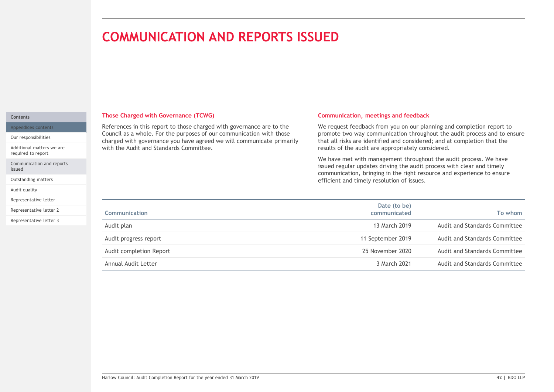# COMMUNICATION AND REPORTS ISSUED

#### Contents

Appendices contents

Our responsibilities

Additional matters we are required to report

Communication and reports issued

Outstanding matters

Audit quality

Representative letter

Representative letter 2

Representative letter 3

#### Those Charged with Governance (TCWG)

#### Communication, meetings and feedback

| References in this report to those charged with governance are to the<br>We request feedback from you on our planning and completion report to<br>Council as a whole. For the purposes of our communication with those<br>promote two way communication throughout the audit process and to ensure<br>charged with governance you have agreed we will communicate primarily<br>that all risks are identified and considered; and at completion that the<br>with the Audit and Standards Committee.<br>results of the audit are appropriately considered. |
|----------------------------------------------------------------------------------------------------------------------------------------------------------------------------------------------------------------------------------------------------------------------------------------------------------------------------------------------------------------------------------------------------------------------------------------------------------------------------------------------------------------------------------------------------------|
|                                                                                                                                                                                                                                                                                                                                                                                                                                                                                                                                                          |
| We have met with management throughout the audit process. We have<br>issued regular updates driving the audit process with clear and timely<br>communication, bringing in the right resource and experience to ensure<br>efficient and timely resolution of issues.                                                                                                                                                                                                                                                                                      |
| Date (to be)<br><b>Communication</b><br>To whom<br>communicated                                                                                                                                                                                                                                                                                                                                                                                                                                                                                          |
| 13 March 2019<br>Audit and Standards Committee<br>Audit plan                                                                                                                                                                                                                                                                                                                                                                                                                                                                                             |
| 11 September 2019<br>Audit and Standards Committee<br>Audit progress report                                                                                                                                                                                                                                                                                                                                                                                                                                                                              |
| 25 November 2020<br>Audit and Standards Committee<br>Audit completion Report                                                                                                                                                                                                                                                                                                                                                                                                                                                                             |
| Audit and Standards Committee<br>Annual Audit Letter<br>3 March 2021                                                                                                                                                                                                                                                                                                                                                                                                                                                                                     |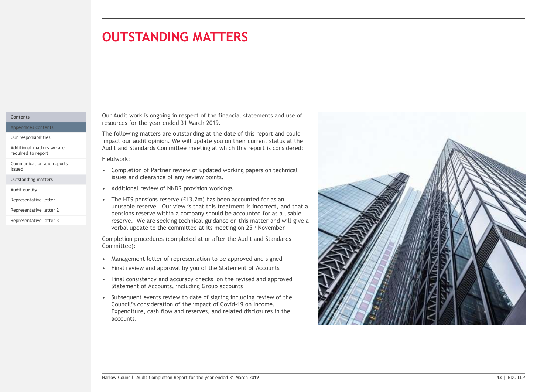## **OUTSTANDING MATTERS** matters and the control of the con-

#### Contents

Appendices contents Our responsibilities

Additional matters we are required to report

Communication and reports<br>issued

Outstanding matters

Representative letter 3

Our Audit work is ongoing in respect of the financial statements and use of resources for the year ended 31 March 2019.

The following matters are outstanding at the date of this report and could impact our audit opinion. We will update you on their current status at the Audit and Standards Committee meeting at which this report is considered:

Fieldwork:

- issues and clearance of any review points. • Completion of Partner review of updated working papers on technical
- Audit quality **Audit Audit Contact Audit Contact Audit Contact Audit Contact Audit quality** Audit quality Audit Contact Audit Contact Audit Contact Audit Contact Audit Contact Audit Contact Audit Contact Audit Contact Audi
- **COUTSTANDING MATTERS**<br>
Our Audit work is ongoing in respect of the financial statements and use of<br>
resources for the year ended 31 March 2019.<br>
The following matters are outstanding at the date of this report and could<br> **COUTSTANDING MATTERS**<br>
For Audit work is ongoing in respect of the financial statements and use of<br>
resources for the year ended 31 March 2019.<br>
The following matters are outstanding at the date of this report and could<br> pensions reserve within a company should be accounted for as a usable reserve. We are seeking technical guidance on this matter and will give a verbal update to the committee at its meeting on 25th November Representative letter • The HTS pensions reserve (£13.2m) has been accounted for as an Representative letter 2 **Exercise 2** unusable reserve. Our view is that this treatment is incorrect, and that a

Completion procedures (completed at or after the Audit and Standards Committee):

- 
- 
- Statement of Accounts, including Group accounts
- Council's consideration of the impact of Covid-19 on Income. Expenditure, cash flow and reserves, and related disclosures in the accounts.

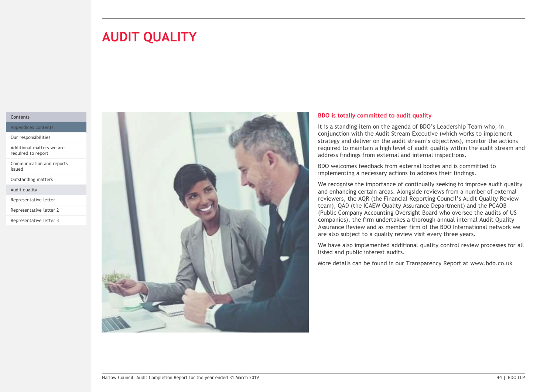# **AUDIT QUALITY**

#### Contents

Appendices contents

Our responsibilities

Additional matters we are required to report

Communication and reports issued

Outstanding matters

Audit quality

Representative letter

Representative letter 2

Representative letter 3



#### BDO is totally committed to audit quality

It is a standing item on the agenda of BDO's Leadership Team who, in conjunction with the Audit Stream Executive (which works to implement strategy and deliver on the audit stream's objectives), monitor the actions required to maintain a high level of audit quality within the audit stream and address findings from external and internal inspections.

BDO welcomes feedback from external bodies and is committed to implementing a necessary actions to address their findings.

We recognise the importance of continually seeking to improve audit quality and enhancing certain areas. Alongside reviews from a number of external reviewers, the AQR (the Financial Reporting Council's Audit Quality Review team), QAD (the ICAEW Quality Assurance Department) and the PCAOB (Public Company Accounting Oversight Board who oversee the audits of US companies), the firm undertakes a thorough annual internal Audit Quality Assurance Review and as member firm of the BDO International network we are also subject to a quality review visit every three years.

We have also implemented additional quality control review processes for all listed and public interest audits.

More details can be found in our Transparency Report at www.bdo.co.uk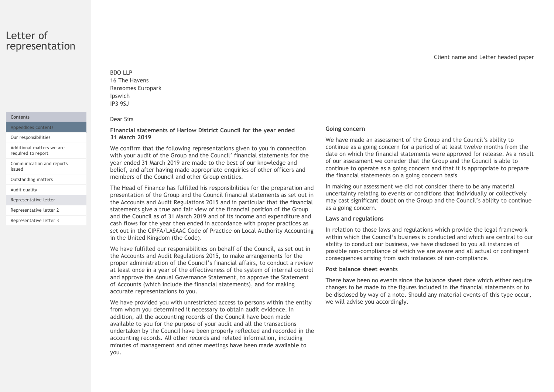#### Letter of representation

#### **Contents**

Appendices contents

Additional matters we are required to report

Communication and reports<br>issued

Outstanding matters

Audit quality

Representative letter

Representative letter 3

#### IP3 9SJ Dear Sirs

BDO LLP 16 The Havens

Ipswich

BDO LLP<br>16 The Havens<br>Ransomes Europark<br>Ipswich<br>Para Sirs<br>Financial statements of Harlow District Council for the year ended Going con Financial statements of Harlow District Council for the year ended Our responsibilities 31 March 2019

BDO LLP<br>
16 The Havens<br>
Ransomes Europark<br>
IP3 95J<br>
Dear Sirs<br>
Financial statements of Harlow District Council for the year ended<br>
31 March 2019<br>
We confirm that the following representations given to you in connection<br>
we We confirm that the following representations given to you in connection with your audit of the Group and the Council' financial statements for the year ended 31 March 2019 are made to the best of our knowledge and belief, and after having made appropriate enquiries of other officers and issued members of the Council and other Group entities.

The Head of Finance has fulfilled his responsibilities for the preparation and presentation of the Group and the Council financial statements as set out in the Accounts and Audit Regulations 2015 and in particular that the financial Representative letter 2 **Statements give a true and fair view of the financial position of the Group** as a going concerr and the Council as of 31 March 2019 and of its income and expenditure and cash flows for the year then ended in accordance with proper practices as set out in the CIPFA/LASAAC Code of Practice on Local Authority Accounting in the United Kingdom (the Code).

> We have fulfilled our responsibilities on behalf of the Council, as set out in the Accounts and Audit Regulations 2015, to make arrangements for the proper administration of the Council's financial affairs, to conduct a review at least once in a year of the effectiveness of the system of internal control and approve the Annual Governance Statement, to approve the Statement of Accounts (which include the financial statements), and for making accurate representations to you.

> We have provided you with unrestricted access to persons within the entity from whom you determined it necessary to obtain audit evidence. In addition, all the accounting records of the Council have been made available to you for the purpose of your audit and all the transactions undertaken by the Council have been properly reflected and recorded in the accounting records. All other records and related information, including minutes of management and other meetings have been made available to you.

#### Going concern

We have made an assessment of the Group and the Council's ability to continue as a going concern for a period of at least twelve months from the date on which the financial statements were approved for release. As a result of our assessment we consider that the Group and the Council is able to continue to operate as a going concern and that it is appropriate to prepare the financial statements on a going concern basis

In making our assessment we did not consider there to be any material uncertainty relating to events or conditions that individually or collectively may cast significant doubt on the Group and the Council's ability to continue as a going concern.

#### Laws and regulations

In relation to those laws and regulations which provide the legal framework within which the Council's business is conducted and which are central to our ability to conduct our business, we have disclosed to you all instances of possible non-compliance of which we are aware and all actual or contingent consequences arising from such instances of non-compliance.

#### Post balance sheet events

There have been no events since the balance sheet date which either require changes to be made to the figures included in the financial statements or to be disclosed by way of a note. Should any material events of this type occur, we will advise you accordingly.

Client name and Letter headed paper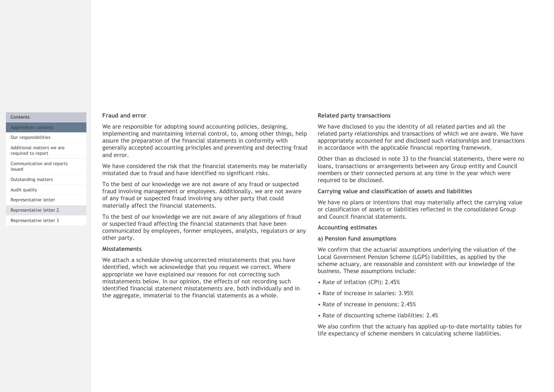#### Contents

Appendices contents

Our responsibilities

Additional matters we are required to report

Communication and reports<br>issued

Outstanding matters

Representative letter

Representative letter 2

Representative letter 3

#### Fraud and error

We are responsible for adopting sound accounting policies, designing, implementing and maintaining internal control, to, among other things, help assure the preparation of the financial statements in conformity with generally accepted accounting principles and preventing and detecting fraud and error.

We have considered the risk that the financial statements may be materially issued in the fact considered the risk and the material statements may be materially coalisty really<br>inisstated due to fraud and have identified no significant risks. members on members

To the best of our knowledge we are not aware of any fraud or suspected Audit quality **Example 2 and involving management or employees. Additionally, we are not aware Carrying value an** of any fraud or suspected fraud involving any other party that could materially affect the financial statements.

> To the best of our knowledge we are not aware of any allegations of fraud or suspected fraud affecting the financial statements that have been communicated by employees, former employees, analysts, regulators or any other party.

#### Misstatements

We attach a schedule showing uncorrected misstatements that you have identified, which we acknowledge that you request we correct. Where appropriate we have explained our reasons for not correcting such misstatements below. In our opinion, the effects of not recording such identified financial statement misstatements are, both individually and in the aggregate, immaterial to the financial statements as a whole.

#### Related party transactions

We have disclosed to you the identity of all related parties and all the related party relationships and transactions of which we are aware. We have appropriately accounted for and disclosed such relationships and transactions in accordance with the applicable financial reporting framework.

Other than as disclosed in note 33 to the financial statements, there were no loans, transactions or arrangements between any Group entity and Council members or their connected persons at any time in the year which were required to be disclosed.

#### Carrying value and classification of assets and liabilities

We have no plans or intentions that may materially affect the carrying value or classification of assets or liabilities reflected in the consolidated Group and Council financial statements.

#### Accounting estimates

#### a) Pension fund assumptions

We confirm that the actuarial assumptions underlying the valuation of the Local Government Pension Scheme (LGPS) liabilities, as applied by the scheme actuary, are reasonable and consistent with our knowledge of the business. These assumptions include:

- Rate of inflation (CPI): 2.45%
- Rate of increase in salaries: 3.95%
- Rate of increase in pensions: 2.45%
- Rate of discounting scheme liabilities: 2.4%

We also confirm that the actuary has applied up-to-date mortality tables for life expectancy of scheme members in calculating scheme liabilities.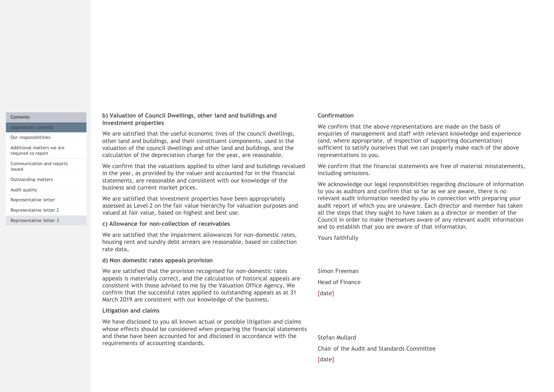#### **Contents**

Appendices contents

Our responsibilities

Additional matters we are required to report

Communication and reports<br>issued

Audit quality

Representative letter

Representative letter 3

#### b) Valuation of Council Dwellings, other land and buildings and investment properties

We are satisfied that the useful economic lives of the council dwellings, other land and buildings, and their constituent components, used in the valuation of the council dwellings and other land and buildings, and the calculation of the depreciation charge for the year, are reasonable.

We confirm that the valuations applied to other land and buildings revalued in the properties are the useful and buildings and<br>
We are astistied that the useful economic lives of the council dwellings,<br>
We are astistied that the useful economic lives of the council dwellings,<br>
We are astistied tha Outstanding matters **the statements**, are reasonable and consistent with our knowledge of the the saling vile business and current market prices. in the year, as provided by the valuer and accounted for in the financial

We are satisfied that investment properties have been appropriately assessed as Level 2 on the fair value hierarchy for valuation purposes and Representative letter 2 and valued at fair value, based on highest and best use.

#### c) Allowance for non-collection of receivables

We are satisfied that the impairment allowances for non-domestic rates, housing rent and sundry debt arrears are reasonable, based on collection rate data.<br>d) Non domestic rates appeals provision

We are satisfied that the provision recognised for non-domestic rates appeals is materially correct, and the calculation of historical appeals are consistent with those advised to me by the Valuation Office Agency. We confirm that the successful rates applied to outstanding appeals as at 31 March 2019 are consistent with our knowledge of the business.

#### Litigation and claims

We have disclosed to you all known actual or possible litigation and claims whose effects should be considered when preparing the financial statements and these have been accounted for and disclosed in accordance with the requirements of accounting standards.

#### Confirmation

We confirm that the above representations are made on the basis of enquiries of management and staff with relevant knowledge and experience (and, where appropriate, of inspection of supporting documentation) sufficient to satisfy ourselves that we can properly make each of the above representations to you.

We confirm that the financial statements are free of material misstatements, including omissions.

We acknowledge our legal responsibilities regarding disclosure of information to you as auditors and confirm that so far as we are aware, there is no relevant audit information needed by you in connection with preparing your audit report of which you are unaware. Each director and member has taken all the steps that they ought to have taken as a director or member of the Council in order to make themselves aware of any relevant audit information and to establish that you are aware of that information.

Yours faithfully

Simon Freeman Head of Finance [date]

Stefan Mullard

Chair of the Audit and Standards Committee

[date]